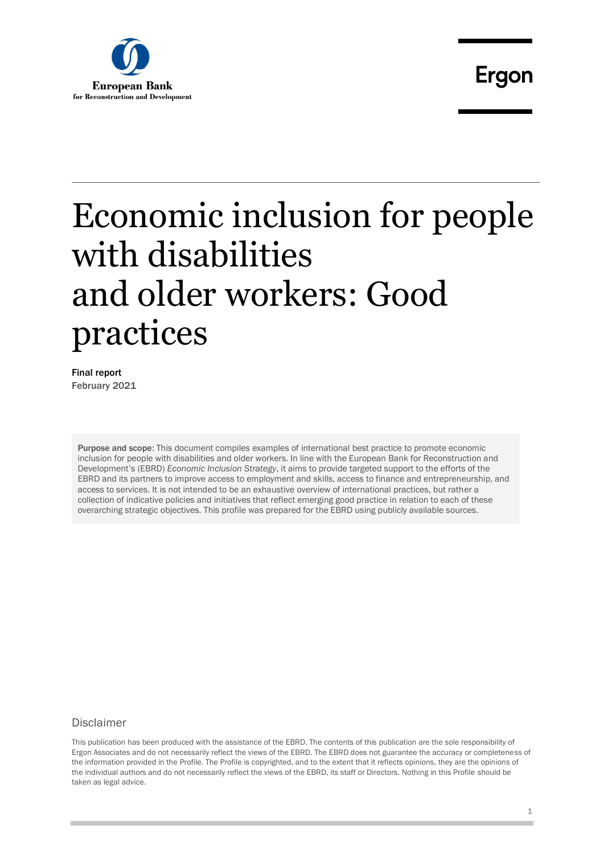

Final report February 2021

Purpose and scope: This document compiles examples of international best practice to promote economic inclusion for people with disabilities and older workers. In line with the European Bank for Reconstruction and Development's (EBRD) *Economic Inclusion Strategy*, it aims to provide targeted support to the efforts of the EBRD and its partners to improve access to employment and skills, access to finance and entrepreneurship, and access to services. It is not intended to be an exhaustive overview of international practices, but rather a collection of indicative policies and initiatives that reflect emerging good practice in relation to each of these overarching strategic objectives. This profile was prepared for the EBRD using publicly available sources.

#### **Disclaimer**

This publication has been produced with the assistance of the EBRD. The contents of this publication are the sole responsibility of Ergon Associates and do not necessarily reflect the views of the EBRD. The EBRD does not guarantee the accuracy or completeness of the information provided in the Profile. The Profile is copyrighted, and to the extent that it reflects opinions, they are the opinions of the individual authors and do not necessarily reflect the views of the EBRD, its staff or Directors. Nothing in this Profile should be taken as legal advice.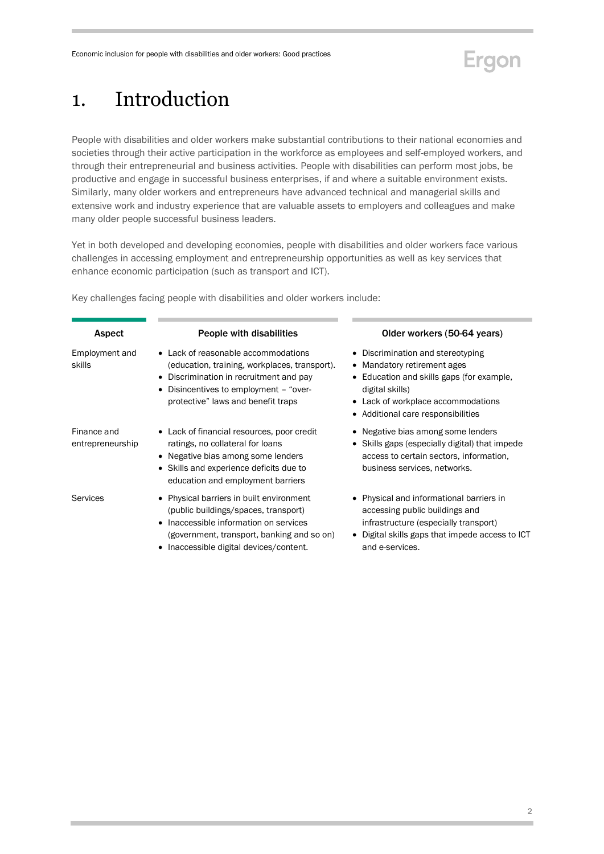

## <span id="page-1-0"></span>1. Introduction

People with disabilities and older workers make substantial contributions to their national economies and societies through their active participation in the workforce as employees and self-employed workers, and through their entrepreneurial and business activities. People with disabilities can perform most jobs, be productive and engage in successful business enterprises, if and where a suitable environment exists. Similarly, many older workers and entrepreneurs have advanced technical and managerial skills and extensive work and industry experience that are valuable assets to employers and colleagues and make many older people successful business leaders.

Yet in both developed and developing economies, people with disabilities and older workers face various challenges in accessing employment and entrepreneurship opportunities as well as key services that enhance economic participation (such as transport and ICT).

Aspect People with disabilities Older workers (50-64 years) Employment and skills Lack of reasonable accommodations (education, training, workplaces, transport). • Discrimination in recruitment and pay Disincentives to employment – "overprotective" laws and benefit traps • Discrimination and stereotyping • Mandatory retirement ages Education and skills gaps (for example, digital skills) Lack of workplace accommodations Additional care responsibilities Finance and entrepreneurship Lack of financial resources, poor credit ratings, no collateral for loans Negative bias among some lenders Skills and experience deficits due to education and employment barriers Negative bias among some lenders Skills gaps (especially digital) that impede access to certain sectors, information, business services, networks. Services • Physical barriers in built environment (public buildings/spaces, transport) • Inaccessible information on services (government, transport, banking and so on) • Inaccessible digital devices/content. Physical and informational barriers in accessing public buildings and infrastructure (especially transport) Digital skills gaps that impede access to ICT and e-services.

Key challenges facing people with disabilities and older workers include: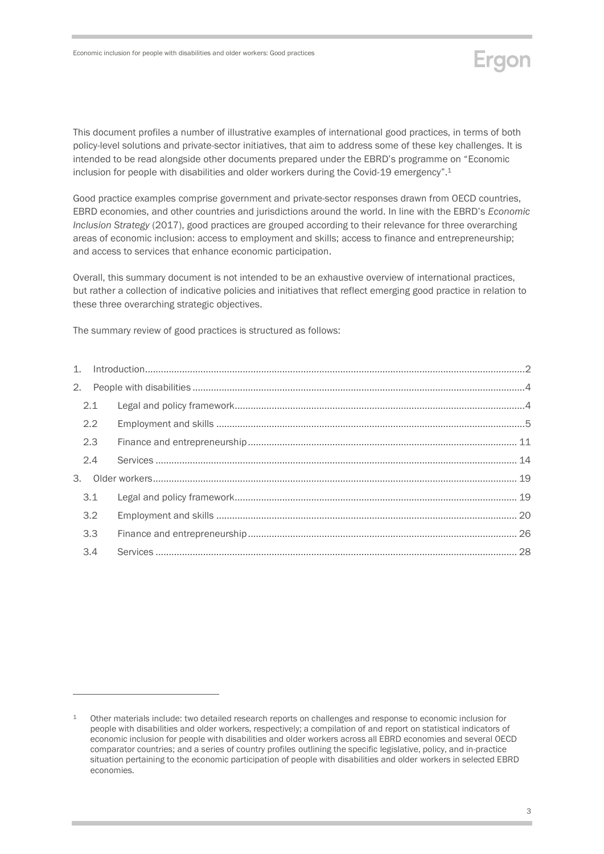This document profiles a number of illustrative examples of international good practices, in terms of both policy-level solutions and private-sector initiatives, that aim to address some of these key challenges. It is intended to be read alongside other documents prepared under the EBRD's programme on "Economic inclusion for people with disabilities and older workers during the Covid-19 emergency". 1

Good practice examples comprise government and private-sector responses drawn from OECD countries, EBRD economies, and other countries and jurisdictions around the world. In line with the EBRD's *Economic Inclusion Strategy* (2017), good practices are grouped according to their relevance for three overarching areas of economic inclusion: access to employment and skills; access to finance and entrepreneurship; and access to services that enhance economic participation.

Overall, this summary document is not intended to be an exhaustive overview of international practices, but rather a collection of indicative policies and initiatives that reflect emerging good practice in relation to these three overarching strategic objectives.

The summary review of good practices is structured as follows:

-

| 2.1 |  |
|-----|--|
| 2.2 |  |
| 2.3 |  |
| 2.4 |  |
|     |  |
| 3.1 |  |
| 3.2 |  |
| 3.3 |  |
| 3.4 |  |
|     |  |

Ergon

<sup>1</sup> Other materials include: two detailed research reports on challenges and response to economic inclusion for people with disabilities and older workers, respectively; a compilation of and report on statistical indicators of economic inclusion for people with disabilities and older workers across all EBRD economies and several OECD comparator countries; and a series of country profiles outlining the specific legislative, policy, and in-practice situation pertaining to the economic participation of people with disabilities and older workers in selected EBRD economies.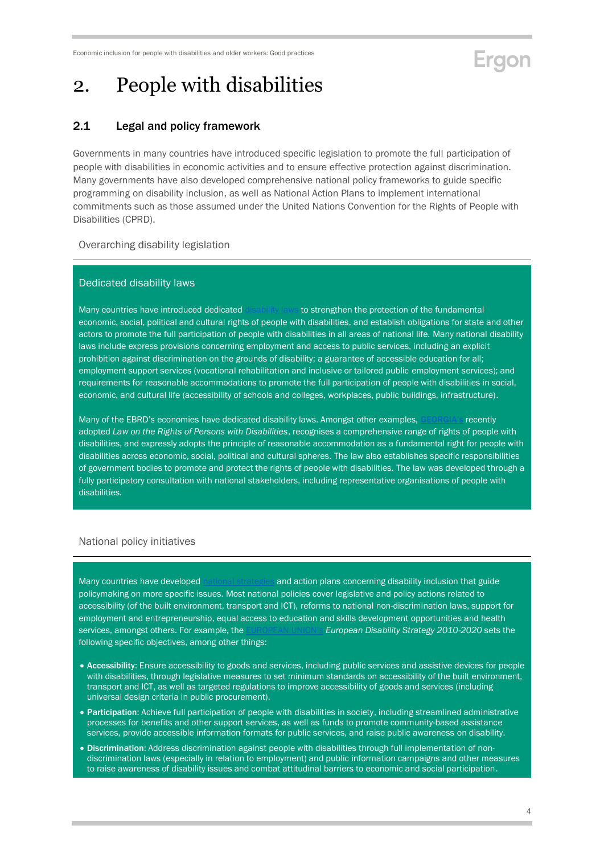## Ergon

## <span id="page-3-0"></span>2. People with disabilities

### <span id="page-3-1"></span>2.1 Legal and policy framework

Governments in many countries have introduced specific legislation to promote the full participation of people with disabilities in economic activities and to ensure effective protection against discrimination. Many governments have also developed comprehensive national policy frameworks to guide specific programming on disability inclusion, as well as National Action Plans to implement international commitments such as those assumed under the United Nations Convention for the Rights of People with Disabilities (CPRD).

Overarching disability legislation

#### Dedicated disability laws

Many countries have introduced dedicate[d disability laws](https://www.un.org/development/desa/disabilities/disability-laws-and-acts-by-country-area.html) to strengthen the protection of the fundamental economic, social, political and cultural rights of people with disabilities, and establish obligations for state and other actors to promote the full participation of people with disabilities in all areas of national life. Many national disability laws include express provisions concerning employment and access to public services, including an explicit prohibition against discrimination on the grounds of disability; a guarantee of accessible education for all; employment support services (vocational rehabilitation and inclusive or tailored public employment services); and requirements for reasonable accommodations to promote the full participation of people with disabilities in social, economic, and cultural life (accessibility of schools and colleges, workplaces, public buildings, infrastructure).

Many of the EBRD's economies have dedicated disability laws. Amongst other examples, [GEORGIA's](https://matsne.gov.ge/en/document/view/4923984?publication=0) recently adopted *Law on the Rights of Persons with Disabilities*, recognises a comprehensive range of rights of people with disabilities, and expressly adopts the principle of reasonable accommodation as a fundamental right for people with disabilities across economic, social, political and cultural spheres. The law also establishes specific responsibilities of government bodies to promote and protect the rights of people with disabilities. The law was developed through a fully participatory consultation with national stakeholders, including representative organisations of people with disabilities.

#### National policy initiatives

Many countries have developed [national strategies](https://www.un.org/development/desa/disabilities/strategies.html) and action plans concerning disability inclusion that guide policymaking on more specific issues. Most national policies cover legislative and policy actions related to accessibility (of the built environment, transport and ICT), reforms to national non-discrimination laws, support for employment and entrepreneurship, equal access to education and skills development opportunities and health services, amongst others. For example, the [EUROPEAN UNION's](https://www.un.org/development/desa/disabilities/wp-content/uploads/sites/15/2019/10/EU_European-Disability-Strategy-2010%E2%80%932020.pdf) *European Disability Strategy 2010-2020* sets the following specific objectives, among other things:

- Accessibility: Ensure accessibility to goods and services, including public services and assistive devices for people with disabilities, through legislative measures to set minimum standards on accessibility of the built environment, transport and ICT, as well as targeted regulations to improve accessibility of goods and services (including universal design criteria in public procurement).
- Participation: Achieve full participation of people with disabilities in society, including streamlined administrative processes for benefits and other support services, as well as funds to promote community-based assistance services, provide accessible information formats for public services, and raise public awareness on disability.
- . Discrimination: Address discrimination against people with disabilities through full implementation of nondiscrimination laws (especially in relation to employment) and public information campaigns and other measures to raise awareness of disability issues and combat attitudinal barriers to economic and social participation.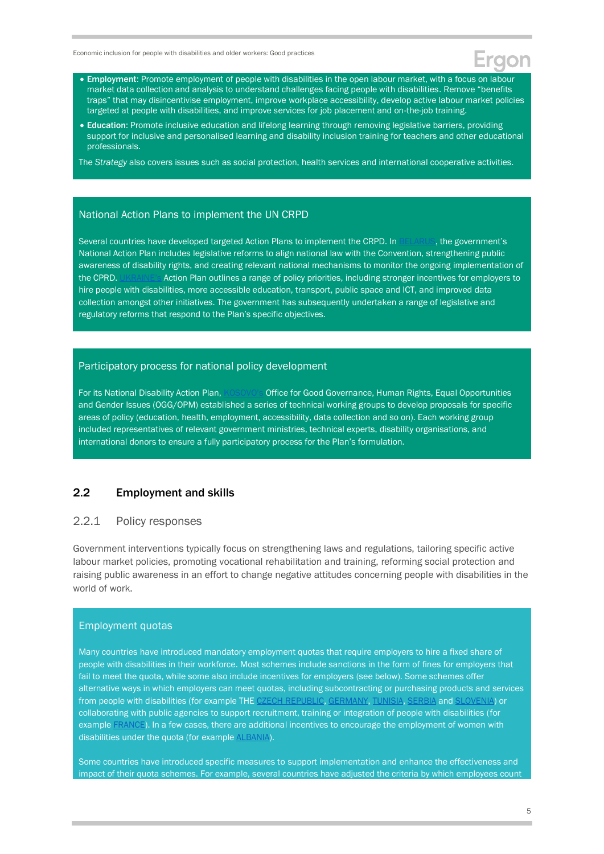- **Employment:** Promote employment of people with disabilities in the open labour market, with a focus on labour market data collection and analysis to understand challenges facing people with disabilities. Remove "benefits traps" that may disincentivise employment, improve workplace accessibility, develop active labour market policies targeted at people with disabilities, and improve services for job placement and on-the-job training.
- Education: Promote inclusive education and lifelong learning through removing legislative barriers, providing support for inclusive and personalised learning and disability inclusion training for teachers and other educational professionals.

The *Strategy* also covers issues such as social protection, health services and international cooperative activities.

#### National Action Plans to implement the UN CRPD

Several countries have developed targeted Action Plans to implement the CRPD. I[n BELARUS](http://www.mintrud.gov.by/system/extensions/spaw/uploads/files/PROEKT-Nats.-plan-tekst.pdf), the government's National Action Plan includes legislative reforms to align national law with the Convention, strengthening public awareness of disability rights, and creating relevant national mechanisms to monitor the ongoing implementation of the CPRD. [UKRAINE's](https://zakon.rada.gov.ua/laws/show/en/1073-2016-%D1%80) Action Plan outlines a range of policy priorities, including stronger incentives for employers to hire people with disabilities, more accessible education, transport, public space and ICT, and improved data collection amongst other initiatives. The government has subsequently undertaken a range of legislative and regulatory reforms that respond to the Plan's specific objectives.

#### Participatory process for national policy development

For its National Disability Action Plan, [KOSOVO's](https://www.un.org/disabilities/documents/best_practices_publication_2011.pdf) Office for Good Governance, Human Rights, Equal Opportunities and Gender Issues (OGG/OPM) established a series of technical working groups to develop proposals for specific areas of policy (education, health, employment, accessibility, data collection and so on). Each working group included representatives of relevant government ministries, technical experts, disability organisations, and international donors to ensure a fully participatory process for the Plan's formulation.

### <span id="page-4-0"></span>2.2 Employment and skills

#### 2.2.1 Policy responses

Government interventions typically focus on strengthening laws and regulations, tailoring specific active labour market policies, promoting vocational rehabilitation and training, reforming social protection and raising public awareness in an effort to change negative attitudes concerning people with disabilities in the world of work.

#### Employment quotas

Many countries have introduced mandatory employment quotas that require employers to hire a fixed share of people with disabilities in their workforce. Most schemes include sanctions in the form of fines for employers that fail to meet the quota, while some also include incentives for employers (see below). Some schemes offer alternative ways in which employers can meet quotas, including subcontracting or purchasing products and services from people with disabilities (for example THE [CZECH REPUBLIC,](https://www.ilo.org/wcmsp5/groups/public/---ed_emp/---ifp_skills/documents/publication/wcms_735531.pdf) [GERMANY,](https://www.york.ac.uk/inst/spru/research/pdf/obligation.pdf) [TUNISIA, SERBIA](https://www.ilo.org/wcmsp5/groups/public/---ed_emp/---ifp_skills/documents/publication/wcms_735531.pdf) and [SLOVENIA\)](https://www.ilo.org/wcmsp5/groups/public/---ed_emp/---ifp_skills/documents/publication/wcms_735531.pdf) or collaborating with public agencies to support recruitment, training or integration of people with disabilities (for example [FRANCE\)](https://www.ilo.org/wcmsp5/groups/public/---ed_emp/---ifp_skills/documents/publication/wcms_735531.pdf). In a few cases, there are additional incentives to encourage the employment of women with disabilities under the quota (for example [ALBANIA\)](https://www.ilo.org/wcmsp5/groups/public/---ed_emp/---ifp_skills/documents/publication/wcms_735531.pdf).

Some countries have introduced specific measures to support implementation and enhance the effectiveness and impact of their quota schemes. For example, several countries have adjusted the criteria by which employees count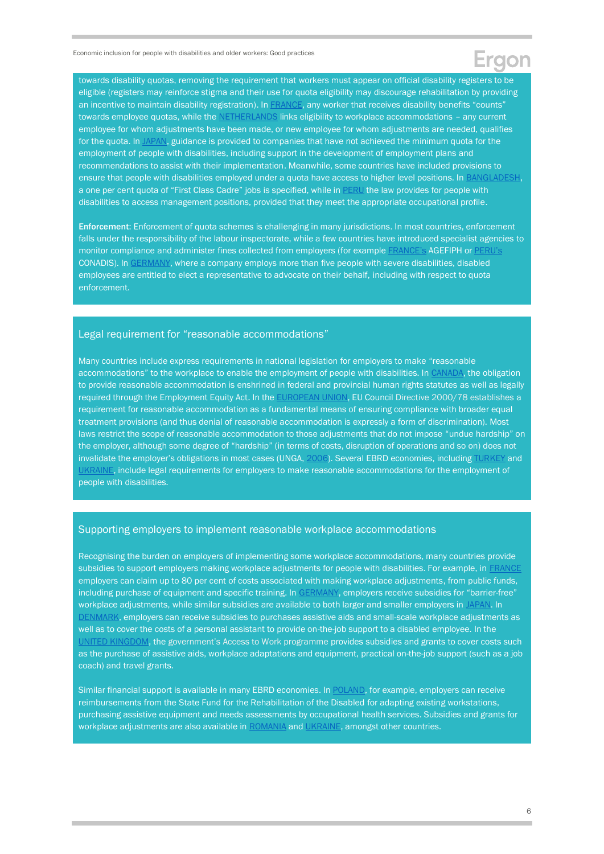towards disability quotas, removing the requirement that workers must appear on official disability registers to be eligible (registers may reinforce stigma and their use for quota eligibility may discourage rehabilitation by providing an incentive to maintain disability registration). In [FRANCE,](https://www.york.ac.uk/inst/spru/research/pdf/obligation.pdf) any worker that receives disability benefits "counts" towards employee quotas, while the [NETHERLANDS](https://www.york.ac.uk/inst/spru/research/pdf/obligation.pdf) links eligibility to workplace accommodations - any current employee for whom adjustments have been made, or new employee for whom adjustments are needed, qualifies for the quota. I[n JAPAN,](https://www.ilo.org/wcmsp5/groups/public/---ed_emp/---ifp_skills/documents/publication/wcms_735531.pdf) guidance is provided to companies that have not achieved the minimum quota for the employment of people with disabilities, including support in the development of employment plans and recommendations to assist with their implementation. Meanwhile, some countries have included provisions to ensure that people with disabilities employed under a quota have access to higher level positions. In **BANGLADESH**, a one per cent quota of "First Class Cadre" jobs is specified, while in [PERU](https://www.ilo.org/wcmsp5/groups/public/---ed_emp/---ifp_skills/documents/publication/wcms_735531.pdf) the law provides for people with disabilities to access management positions, provided that they meet the appropriate occupational profile.

Enforcement: Enforcement of quota schemes is challenging in many jurisdictions. In most countries, enforcement falls under the responsibility of the labour inspectorate, while a few countries have introduced specialist agencies to monitor compliance and administer fines collected from employers (for example [FRANCE's](https://travail-emploi.gouv.fr/ministere/acteurs/partenaires/agefiph) AGEFIPH or [PERU's](https://www.gob.pe/conadis) CONADIS). In [GERMANY,](https://www.ilo.org/wcmsp5/groups/public/---ed_emp/---ifp_skills/documents/publication/wcms_322685.pdf) where a company employs more than five people with severe disabilities, disabled employees are entitled to elect a representative to advocate on their behalf, including with respect to quota enforcement.

#### Legal requirement for "reasonable accommodations"

Many countries include express requirements in national legislation for employers to make "reasonable accommodations" to the workplace to enable the employment of people with disabilities. In [CANADA,](https://www.un.org/esa/socdev/enable/rights/ahc7bkgrndra.htm) the obligation to provide reasonable accommodation is enshrined in federal and provincial human rights statutes as well as legally required through the Employment Equity Act. In the [EUROPEAN UNION,](https://eur-lex.europa.eu/legal-content/EN/TXT/?uri=celex%3A32000L0078) EU Council Directive 2000/78 establishes a requirement for reasonable accommodation as a fundamental means of ensuring compliance with broader equal treatment provisions (and thus denial of reasonable accommodation is expressly a form of discrimination). Most laws restrict the scope of reasonable accommodation to those adjustments that do not impose "undue hardship" on the employer, although some degree of "hardship" (in terms of costs, disruption of operations and so on) does not invalidate the employer's obligations in most cases (UNGA, [2006\).](https://www.un.org/esa/socdev/enable/rights/ahc7bkgrndra.htm) Several EBRD economies, includin[g TURKEY](http://www.ilo.org/dyn/natlex/natlex4.detail?p_lang=en&p_isn=77387&p_country=TUR&p_count=781&p_classification=08&p_classcount=39) and [UKRAINE,](https://www.upr-info.org/sites/default/files/document/ukraine/session_28_-_november_2017/a_hrc_wg.6_28_ukr_1_annex_4.pdf) include legal requirements for employers to make reasonable accommodations for the employment of people with disabilities.

#### Supporting employers to implement reasonable workplace accommodations

Recognising the burden on employers of implementing some workplace accommodations, many countries provide subsidies to support employers making workplace adjustments for people with disabilities. For example, in [FRANCE](https://www.ilo.org/wcmsp5/groups/public/---ed_emp/---ifp_skills/documents/publication/wcms_735531.pdf) employers can claim up to 80 per cent of costs associated with making workplace adjustments, from public funds, including purchase of equipment and specific training. In [GERMANY,](https://www.ilo.org/wcmsp5/groups/public/---ed_emp/---ifp_skills/documents/publication/wcms_735531.pdf) employers receive subsidies for "barrier-free" workplace adjustments, while similar subsidies are available to both larger and smaller employers in [JAPAN.](https://www.ilo.org/wcmsp5/groups/public/---ed_emp/---ifp_skills/documents/publication/wcms_735531.pdf) In [DENMARK,](https://star.dk/en/active-labour-market-policy-measures/measures-for-placing-disabled-persons-in-employment/) employers can receive subsidies to purchases assistive aids and small-scale workplace adjustments as well as to cover the costs of a personal assistant to provide on-the-job support to a disabled employee. In the [UNITED KINGDOM,](https://www.gov.uk/government/publications/access-to-work-guide-for-employers/access-to-work-factsheet-for-employers) the government's Access to Work programme provides subsidies and grants to cover costs such as the purchase of assistive aids, workplace adaptations and equipment, practical on-the-job support (such as a job coach) and travel grants.

Similar financial support is available in many EBRD economies. In [POLAND,](https://www.ilo.org/dyn/natlex/docs/ELECTRONIC/48525/97772/F-506218832/D20180511Lj.pdf) for example, employers can receive reimbursements from the State Fund for the Rehabilitation of the Disabled for adapting existing workstations, purchasing assistive equipment and needs assessments by occupational health services. Subsidies and grants for workplace adjustments are also available in [ROMANIA](https://www.legislationline.org/download/id/7082/file/Romania_Law_protection_promotion_rights_disabled_persons_2006_am2008_en.pdf) and [UKRAINE,](https://zakon.rada.gov.ua/laws/anot/en/875-12) amongst other countries.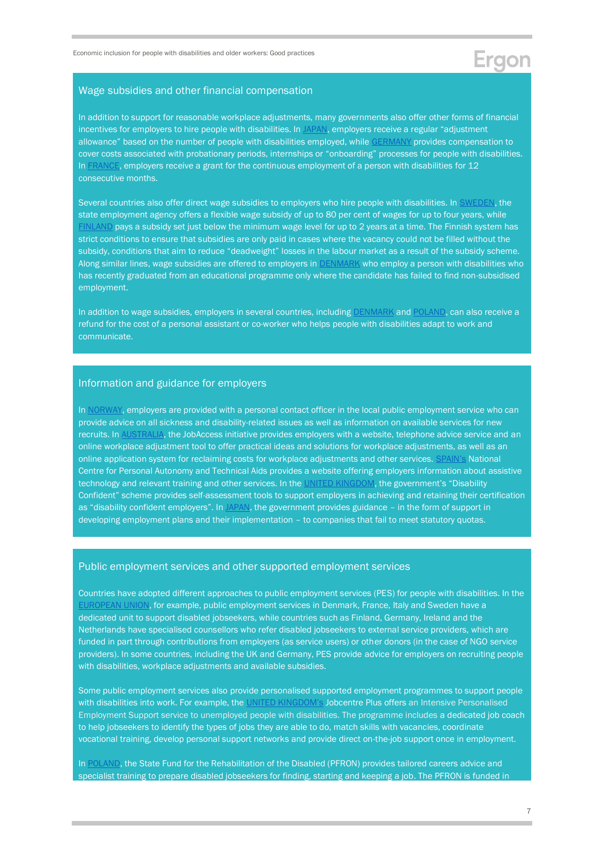#### Wage subsidies and other financial compensation

In addition to support for reasonable workplace adjustments, many governments also offer other forms of financial incentives for employers to hire people with disabilities. In [JAPAN,](https://www.ilo.org/wcmsp5/groups/public/---ed_emp/---ifp_skills/documents/publication/wcms_735531.pdf) employers receive a regular "adjustment allowance" based on the number of people with disabilities employed, whil[e GERMANY](https://www.ilo.org/wcmsp5/groups/public/---ed_emp/---ifp_skills/documents/publication/wcms_735531.pdf) provides compensation to cover costs associated with probationary periods, internships or "onboarding" processes for people with disabilities. In [FRANCE,](https://www.ilo.org/wcmsp5/groups/public/---ed_emp/---ifp_skills/documents/publication/wcms_735531.pdf) employers receive a grant for the continuous employment of a person with disabilities for 12 consecutive months.

Several countries also offer direct wage subsidies to employers who hire people with disabilities. In [SWEDEN,](https://www.ilo.org/wcmsp5/groups/public/---ed_emp/---ifp_skills/documents/publication/wcms_735531.pdf) the state employment agency offers a flexible wage subsidy of up to 80 per cent of wages for up to four years, while INLAND pays a subsidy set just below the minimum wage level for up to 2 years at a time. The Finnish system has strict conditions to ensure that subsidies are only paid in cases where the vacancy could not be filled without the subsidy, conditions that aim to reduce "deadweight" losses in the labour market as a result of the subsidy scheme. Along similar lines, wage subsidies are offered to employers in [DENMARK](https://star.dk/en/active-labour-market-policy-measures/measures-for-placing-disabled-persons-in-employment/) who employ a person with disabilities who has recently graduated from an educational programme only where the candidate has failed to find non-subsidised employment.

In addition to wage subsidies, employers in several countries, including [DENMARK](https://star.dk/en/active-labour-market-policy-measures/measures-for-placing-disabled-persons-in-employment/) an[d POLAND,](https://www.equalitylaw.eu/downloads/5289-poland-country-report-non-discrimination-2020-1-95-mb) can also receive a refund for the cost of a personal assistant or co-worker who helps people with disabilities adapt to work and communicate.

#### Information and guidance for employers

In [NORWAY,](https://read.oecd-ilibrary.org/social-issues-migration-health/sickness-disability-and-work-breaking-the-barriers_9789264088856-en#page138) employers are provided with a personal contact officer in the local public employment service who can provide advice on all sickness and disability-related issues as well as information on available services for new recruits. In [AUSTRALIA,](https://read.oecd-ilibrary.org/social-issues-migration-health/sickness-disability-and-work-breaking-the-barriers_9789264088856-en#page138) the JobAccess initiative provides employers with a website, telephone advice service and an online workplace adjustment tool to offer practical ideas and solutions for workplace adjustments, as well as an online application system for reclaiming costs for workplace adjustments and other services. [SPAIN's](https://read.oecd-ilibrary.org/social-issues-migration-health/sickness-disability-and-work-breaking-the-barriers_9789264088856-en#page138) National Centre for Personal Autonomy and Technical Aids provides a website offering employers information about assistive technology and relevant training and other services. In the [UNITED KINGDOM](https://www.gov.uk/guidance/disability-confident-how-to-sign-up-to-the-employer-scheme), the government's "Disability Confident" scheme provides self-assessment tools to support employers in achieving and retaining their certification as "disability confident employers". I[n JAPAN,](https://www.ilo.org/wcmsp5/groups/public/---ed_emp/---ifp_skills/documents/publication/wcms_735531.pdf) the government provides guidance - in the form of support in developing employment plans and their implementation – to companies that fail to meet statutory quotas.

#### Public employment services and other supported employment services

Countries have adopted different approaches to public employment services (PES) for people with disabilities. In the [EUROPEAN UNION,](https://ec.europa.eu/social/BlobServlet?docId=14106&langId=en) for example, public employment services in Denmark, France, Italy and Sweden have a dedicated unit to support disabled jobseekers, while countries such as Finland, Germany, Ireland and the Netherlands have specialised counsellors who refer disabled jobseekers to external service providers, which are funded in part through contributions from employers (as service users) or other donors (in the case of NGO service providers). In some countries, including the UK and Germany, PES provide advice for employers on recruiting people with disabilities, workplace adjustments and available subsidies.

Some public employment services also provide personalised supported employment programmes to support people with disabilities into work. For example, the [UNITED KINGDOM's](https://www.gov.uk/intensive-personalised-employment-support) Jobcentre Plus offers an Intensive Personalised Employment Support service to unemployed people with disabilities. The programme includes a dedicated job coach to help jobseekers to identify the types of jobs they are able to do, match skills with vacancies, coordinate vocational training, develop personal support networks and provide direct on-the-job support once in employment.

In [POLAND,](https://www.pfron.org.pl/en/the-fund/programy-i-zadania-pfron/programy-i-zadania-real/work-for-inclusion-programme/) the State Fund for the Rehabilitation of the Disabled (PFRON) provides tailored careers advice and specialist training to prepare disabled jobseekers for finding, starting and keeping a job. The PFRON is funded in

Ergon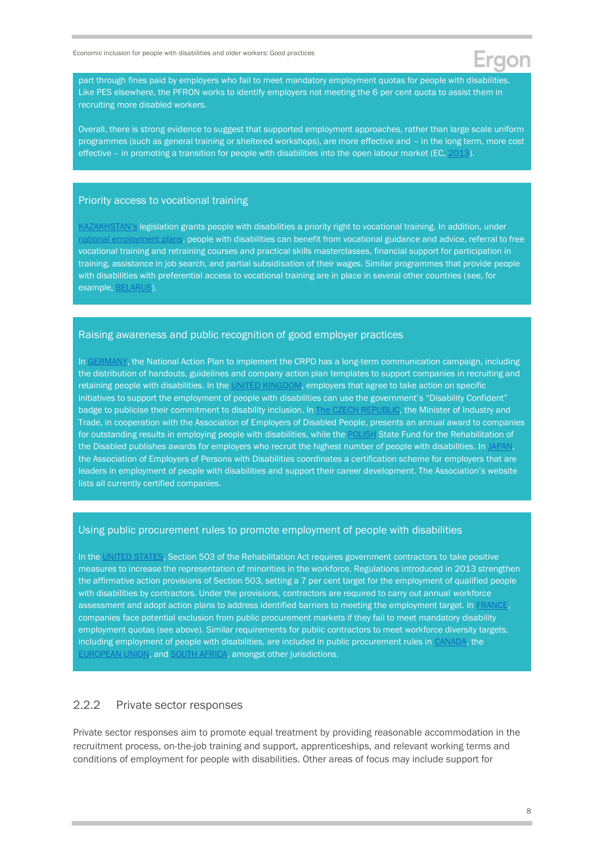part through fines paid by employers who fail to meet mandatory employment quotas for people with disabilities. Like PES elsewhere, the PFRON works to identify employers not meeting the 6 per cent quota to assist them in recruiting more disabled workers.

Overall, there is strong evidence to suggest that supported employment approaches, rather than large scale uniform programmes (such as general training or sheltered workshops), are more effective and – in the long term, more cost effective – in promoting a transition for people with disabilities into the open labour market (EC, [2013\)](https://ec.europa.eu/social/BlobServlet?docId=14106&langId=en).

#### Priority access to vocational training

[KAZAKHSTAN's](https://online.zakon.kz/document/?doc_id=38847468) legislation grants people with disabilities a priority right to vocational training. In addition, under [national employment plans,](https://www.gov.kz/memleket/entities/enbek/documents/details/7831?lang=ru) people with disabilities can benefit from vocational guidance and advice, referral to free vocational training and retraining courses and practical skills masterclasses, financial support for participation in training, assistance in job search, and partial subsidisation of their wages. Similar programmes that provide people with disabilities with preferential access to vocational training are in place in several other countries (see, for example, [BELARUS\)](https://www.ilo.org/dyn/normlex/en/f?p=1000:13100:0::NO:13100:P13100_COMMENT_ID:4000583:NO).

#### Raising awareness and public recognition of good employer practices

In [GERMANY,](https://www.ilo.org/wcmsp5/groups/public/---ed_emp/---ifp_skills/documents/publication/wcms_735531.pdf) the National Action Plan to implement the CRPD has a long-term communication campaign, including the distribution of handouts, guidelines and company action plan templates to support companies in recruiting and retaining people with disabilities. In the [UNITED KINGDOM,](https://www.gov.uk/guidance/disability-confident-how-to-sign-up-to-the-employer-scheme) employers that agree to take action on specific initiatives to support the employment of people with disabilities can use the government's "Disability Confident" badge to publicise their commitment to disability inclusion. In [The CZECH REPUBLIC,](https://www.ilo.org/wcmsp5/groups/public/---ed_emp/---ifp_skills/documents/publication/wcms_735531.pdf) the Minister of Industry and Trade, in cooperation with the Association of Employers of Disabled People, presents an annual award to companies for outstanding results in employing people with disabilities, while the [POLISH](https://www.pfron.org.pl/en/the-fund/programy-i-zadania-pfron/programy-i-zadania-real/work-for-inclusion-programme/) State Fund for the Rehabilitation of the Disabled publishes awards for employers who recruit the highest number of people with disabilities. In [JAPAN,](http://www.zenjukyo.or.jp/ninsho/) the Association of Employers of Persons with Disabilities coordinates a certification scheme for employers that are leaders in employment of people with disabilities and support their career development. The Association's website lists all currently certified companies.

#### Using public procurement rules to promote employment of people with disabilities

In the [UNITED STATES,](https://www.ilo.org/wcmsp5/groups/public/---ed_emp/---ifp_skills/documents/publication/wcms_322685.pdf) Section 503 of the Rehabilitation Act requires government contractors to take positive measures to increase the representation of minorities in the workforce. Regulations introduced in 2013 strengthen the affirmative action provisions of Section 503, setting a 7 per cent target for the employment of qualified people with disabilities by contractors. Under the provisions, contractors are required to carry out annual workforce assessment and adopt action plans to address identified barriers to meeting the employment target. I[n FRANCE,](https://www.ilo.org/wcmsp5/groups/public/---ed_emp/---ifp_skills/documents/publication/wcms_322685.pdf)  companies face potential exclusion from public procurement markets if they fail to meet mandatory disability employment quotas (see above). Similar requirements for public contractors to meet workforce diversity targets, including employment of people with disabilities, are included in public procurement rules in [CANADA,](https://www.ilo.org/wcmsp5/groups/public/---ed_emp/---ifp_skills/documents/publication/wcms_322685.pdf) the [EUROPEAN UNION,](https://www.ilo.org/wcmsp5/groups/public/---ed_emp/---ifp_skills/documents/publication/wcms_322685.pdf) an[d SOUTH AFRICA,](https://www.ilo.org/wcmsp5/groups/public/---ed_emp/---ifp_skills/documents/publication/wcms_322685.pdf) amongst other jurisdictions.

#### 2.2.2 Private sector responses

Private sector responses aim to promote equal treatment by providing reasonable accommodation in the recruitment process, on-the-job training and support, apprenticeships, and relevant working terms and conditions of employment for people with disabilities. Other areas of focus may include support for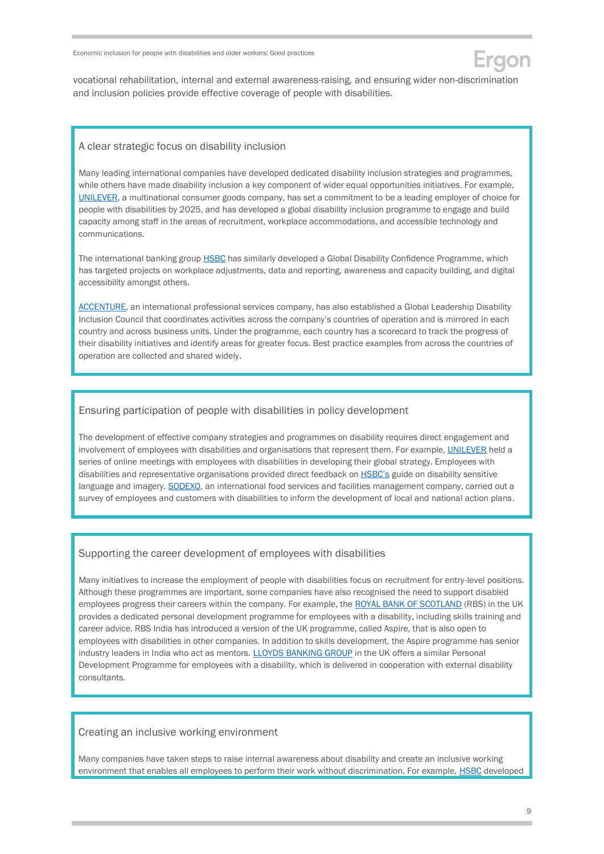vocational rehabilitation, internal and external awareness-raising, and ensuring wider non-discrimination and inclusion policies provide effective coverage of people with disabilities.

#### A clear strategic focus on disability inclusion

Many leading international companies have developed dedicated disability inclusion strategies and programmes, while others have made disability inclusion a key component of wider equal opportunities initiatives. For example, [UNILEVER,](https://businessdisabilityforum.org.uk/knowledge-hub/resources/towards-a-disability-smart-world-global-disability-inclusion-strategy-report/) a multinational consumer goods company, has set a commitment to be a leading employer of choice for people with disabilities by 2025, and has developed a global disability inclusion programme to engage and build capacity among staff in the areas of recruitment, workplace accommodations, and accessible technology and communications.

The international banking group [HSBC](https://businessdisabilityforum.org.uk/knowledge-hub/resources/towards-a-disability-smart-world-global-disability-inclusion-strategy-report/) has similarly developed a Global Disability Confidence Programme, which has targeted projects on workplace adjustments, data and reporting, awareness and capacity building, and digital accessibility amongst others.

[ACCENTURE,](https://businessdisabilityforum.org.uk/knowledge-hub/resources/towards-a-disability-smart-world-global-disability-inclusion-strategy-report/) an international professional services company, has also established a Global Leadership Disability Inclusion Council that coordinates activities across the company's countries of operation and is mirrored in each country and across business units. Under the programme, each country has a scorecard to track the progress of their disability initiatives and identify areas for greater focus. Best practice examples from across the countries of operation are collected and shared widely.

#### Ensuring participation of people with disabilities in policy development

The development of effective company strategies and programmes on disability requires direct engagement and involvement of employees with disabilities and organisations that represent them. For example, [UNILEVER](https://businessdisabilityforum.org.uk/knowledge-hub/resources/towards-a-disability-smart-world-global-disability-inclusion-strategy-report/) held a series of online meetings with employees with disabilities in developing their global strategy. Employees with disabilities and representative organisations provided direct feedback on **[HSBC's](https://businessdisabilityforum.org.uk/knowledge-hub/resources/towards-a-disability-smart-world-global-disability-inclusion-strategy-report/)** guide on disability sensitive language and imagery. [SODEXO,](https://businessdisabilityforum.org.uk/knowledge-hub/resources/towards-a-disability-smart-world-global-disability-inclusion-strategy-report/) an international food services and facilities management company, carried out a survey of employees and customers with disabilities to inform the development of local and national action plans.

#### Supporting the career development of employees with disabilities

Many initiatives to increase the employment of people with disabilities focus on recruitment for entry-level positions. Although these programmes are important, some companies have also recognised the need to support disabled employees progress their careers within the company. For example, the [ROYAL BANK OF SCOTLAND](https://businessdisabilityforum.org.uk/knowledge-hub/resources/towards-a-disability-smart-world-global-disability-inclusion-strategy-report/) (RBS) in the UK provides a dedicated personal development programme for employees with a disability, including skills training and career advice. RBS India has introduced a version of the UK programme, called Aspire, that is also open to employees with disabilities in other companies. In addition to skills development, the Aspire programme has senior industry leaders in India who act as mentors. [LLOYDS BANKING GROUP](https://www.lloydsbankinggroup.com/who-we-are/responsible-business/inclusion-and-diversity/disability.html) in the UK offers a similar Personal Development Programme for employees with a disability, which is delivered in cooperation with external disability consultants.

#### Creating an inclusive working environment

Many companies have taken steps to raise internal awareness about disability and create an inclusive working environment that enables all employees to perform their work without discrimination. For example, [HSBC](https://businessdisabilityforum.org.uk/knowledge-hub/resources/towards-a-disability-smart-world-global-disability-inclusion-strategy-report/) developed

don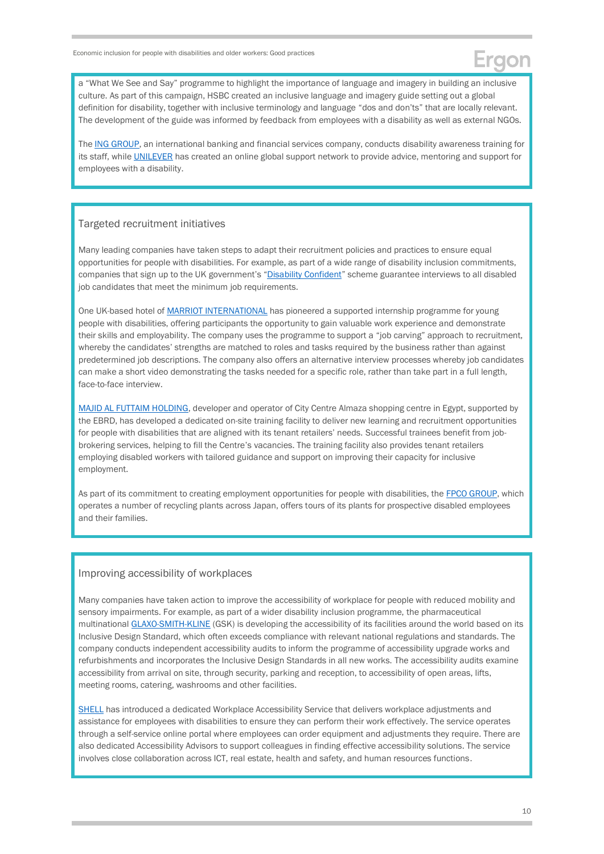a "What We See and Say" programme to highlight the importance of language and imagery in building an inclusive culture. As part of this campaign, HSBC created an inclusive language and imagery guide setting out a global definition for disability, together with inclusive terminology and language "dos and don'ts" that are locally relevant. The development of the guide was informed by feedback from employees with a disability as well as external NGOs.

Th[e ING GROUP,](https://businessdisabilityforum.org.uk/knowledge-hub/resources/towards-a-disability-smart-world-global-disability-inclusion-strategy-report/) an international banking and financial services company, conducts disability awareness training for its staff, while [UNILEVER](https://businessdisabilityforum.org.uk/knowledge-hub/resources/towards-a-disability-smart-world-global-disability-inclusion-strategy-report/) has created an online global support network to provide advice, mentoring and support for employees with a disability.

#### Targeted recruitment initiatives

Many leading companies have taken steps to adapt their recruitment policies and practices to ensure equal opportunities for people with disabilities. For example, as part of a wide range of disability inclusion commitments, companies that sign up to the UK government's "[Disability Confident](https://disabilityconfident.campaign.gov.uk/)" scheme guarantee interviews to all disabled job candidates that meet the minimum job requirements.

One UK-based hotel o[f MARRIOT INTERNATIONAL](https://dwp.shorthandstories.com/DC-Adam-Marriott/index.html) has pioneered a supported internship programme for young people with disabilities, offering participants the opportunity to gain valuable work experience and demonstrate their skills and employability. The company uses the programme to support a "job carving" approach to recruitment, whereby the candidates' strengths are matched to roles and tasks required by the business rather than against predetermined job descriptions. The company also offers an alternative interview processes whereby job candidates can make a short video demonstrating the tasks needed for a specific role, rather than take part in a full length, face-to-face interview.

[MAJID AL FUTTAIM HOLDING,](https://www.ebrd.com/documents/environment/sustainability-report-2019-pdf.pdf?blobnocache=true) developer and operator of City Centre Almaza shopping centre in Egypt, supported by the EBRD, has developed a dedicated on-site training facility to deliver new learning and recruitment opportunities for people with disabilities that are aligned with its tenant retailers' needs. Successful trainees benefit from jobbrokering services, helping to fill the Centre's vacancies. The training facility also provides tenant retailers employing disabled workers with tailored guidance and support on improving their capacity for inclusive employment.

As part of its commitment to creating employment opportunities for people with disabilities, the **FPCO GROUP**, which operates a number of recycling plants across Japan, offers tours of its plants for prospective disabled employees and their families.

#### Improving accessibility of workplaces

Many companies have taken action to improve the accessibility of workplace for people with reduced mobility and sensory impairments. For example, as part of a wider disability inclusion programme, the pharmaceutical multinationa[l GLAXO-SMITH-KLINE](https://businessdisabilityforum.org.uk/knowledge-hub/resources/towards-a-disability-smart-world-global-disability-inclusion-strategy-report/) (GSK) is developing the accessibility of its facilities around the world based on its Inclusive Design Standard, which often exceeds compliance with relevant national regulations and standards. The company conducts independent accessibility audits to inform the programme of accessibility upgrade works and refurbishments and incorporates the Inclusive Design Standards in all new works. The accessibility audits examine accessibility from arrival on site, through security, parking and reception, to accessibility of open areas, lifts, meeting rooms, catering, washrooms and other facilities.

[SHELL](https://businessdisabilityforum.org.uk/knowledge-hub/resources/towards-a-disability-smart-world-global-disability-inclusion-strategy-report/) has introduced a dedicated Workplace Accessibility Service that delivers workplace adjustments and assistance for employees with disabilities to ensure they can perform their work effectively. The service operates through a self-service online portal where employees can order equipment and adjustments they require. There are also dedicated Accessibility Advisors to support colleagues in finding effective accessibility solutions. The service involves close collaboration across ICT, real estate, health and safety, and human resources functions.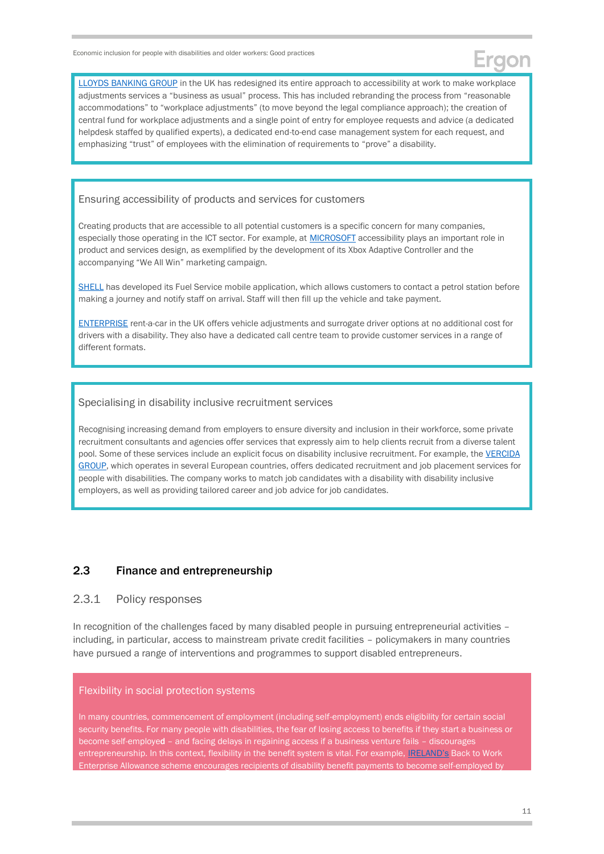[LLOYDS BANKING GROUP](http://www.businessanddisability.org/wp-content/uploads/2020/05/LLOYDS-WORKPLACE-ADJUSTMENTS-CASE-STUDY1.pdf) in the UK has redesigned its entire approach to accessibility at work to make workplace adjustments services a "business as usual" process. This has included rebranding the process from "reasonable accommodations" to "workplace adjustments" (to move beyond the legal compliance approach); the creation of central fund for workplace adjustments and a single point of entry for employee requests and advice (a dedicated helpdesk staffed by qualified experts), a dedicated end-to-end case management system for each request, and emphasizing "trust" of employees with the elimination of requirements to "prove" a disability.

#### Ensuring accessibility of products and services for customers

Creating products that are accessible to all potential customers is a specific concern for many companies, especially those operating in the ICT sector. For example, at **MICROSOFT** accessibility plays an important role in product and services design, as exemplified by the development of its Xbox Adaptive Controller and the accompanying "We All Win" marketing campaign.

[SHELL](https://businessdisabilityforum.org.uk/knowledge-hub/resources/towards-a-disability-smart-world-global-disability-inclusion-strategy-report/) has developed its Fuel Service mobile application, which allows customers to contact a petrol station before making a journey and notify staff on arrival. Staff will then fill up the vehicle and take payment.

[ENTERPRISE](https://businessdisabilityforum.org.uk/knowledge-hub/resources/towards-a-disability-smart-world-global-disability-inclusion-strategy-report/) rent-a-car in the UK offers vehicle adjustments and surrogate driver options at no additional cost for drivers with a disability. They also have a dedicated call centre team to provide customer services in a range of different formats.

#### Specialising in disability inclusive recruitment services

Recognising increasing demand from employers to ensure diversity and inclusion in their workforce, some private recruitment consultants and agencies offer services that expressly aim to help clients recruit from a diverse talent pool. Some of these services include an explicit focus on disability inclusive recruitment. For example, the VERCIDA [GROUP,](https://www.vercida.com/uk) which operates in several European countries, offers dedicated recruitment and job placement services for people with disabilities. The company works to match job candidates with a disability with disability inclusive employers, as well as providing tailored career and job advice for job candidates.

### <span id="page-10-0"></span>2.3 Finance and entrepreneurship

#### 2.3.1 Policy responses

In recognition of the challenges faced by many disabled people in pursuing entrepreneurial activities including, in particular, access to mainstream private credit facilities – policymakers in many countries have pursued a range of interventions and programmes to support disabled entrepreneurs.

#### Flexibility in social protection systems

In many countries, commencement of employment (including self-employment) ends eligibility for certain social security benefits. For many people with disabilities, the fear of losing access to benefits if they start a business or become self-employed – and facing delays in regaining access if a business venture fails – discourages entrepreneurship. In this context, flexibility in the benefit system is vital. For example, [IRELAND's](https://www.gov.ie/en/service/f215a4-back-to-work-enterprise-allowance/) Back to Work Enterprise Allowance scheme encourages recipients of disability benefit payments to become self-employed by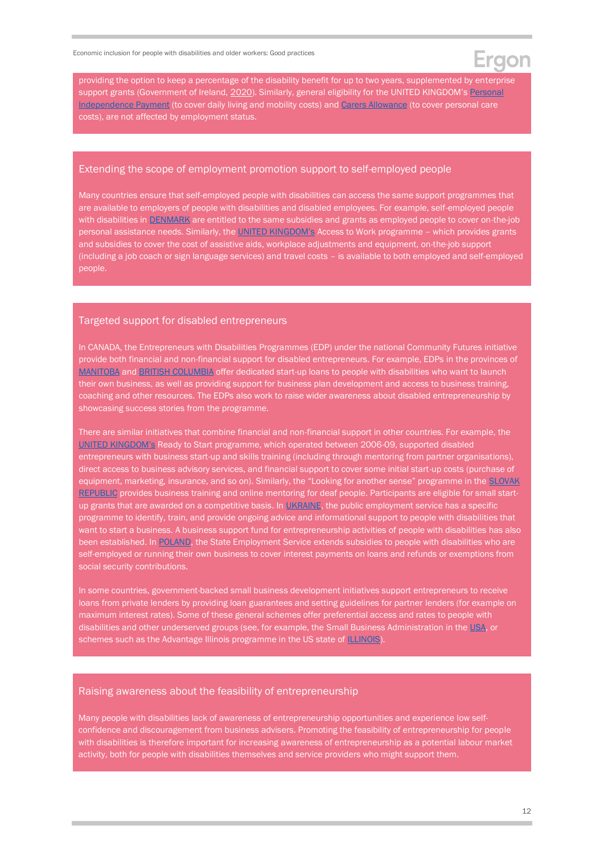providing the option to keep a percentage of the disability benefit for up to two years, supplemented by enterprise support grants (Government of Ireland, [2020\)](https://www.gov.ie/en/service/f215a4-back-to-work-enterprise-allowance/). Similarly, general eligibility for the UNITED KINGDOM's Personal [Independence Payment](https://www.gov.uk/pip) (to cover daily living and mobility costs) an[d Carers Allowance](https://www.gov.uk/carers-allowance) (to cover personal care costs), are not affected by employment status.

#### Extending the scope of employment promotion support to self-employed people

Many countries ensure that self-employed people with disabilities can access the same support programmes that are available to employers of people with disabilities and disabled employees. For example, self-employed people with disabilities in **DENMARK** are entitled to the same subsidies and grants as employed people to cover on-the-job personal assistance needs. Similarly, the [UNITED KINGDOM's](https://www.gov.uk/government/publications/access-to-work-factsheet/access-to-work-factsheet-for-customers) Access to Work programme - which provides grants and subsidies to cover the cost of assistive aids, workplace adjustments and equipment, on-the-job support (including a job coach or sign language services) and travel costs – is available to both employed and self-employed people.

#### Targeted support for disabled entrepreneurs

In CANADA, the Entrepreneurs with Disabilities Programmes (EDP) under the national Community Futures initiative provide both financial and non-financial support for disabled entrepreneurs. For example, EDPs in the provinces of [MANITOBA](https://cfmanitoba.ca/special-programs/entrepreneurs-with-disabilities-program-edp#:~:text=The%20Entrepreneurs%20with%20Disabilities%20Program,disability%20or%20a%20health%20condition.) and BRITISH [COLUMBIA](https://www.communityfutures.ca/edp) offer dedicated start-up loans to people with disabilities who want to launch their own business, as well as providing support for business plan development and access to business training, coaching and other resources. The EDPs also work to raise wider awareness about disabled entrepreneurship by showcasing success stories from the programme.

There are similar initiatives that combine financial and non-financial support in other countries. For example, the [UNITED KINGDOM's](https://www.oecd.org/cfe/leed/Policy-brief-entrepreneurship-people-disabilities.pdf) Ready to Start programme, which operated between 2006-09, supported disabled entrepreneurs with business start-up and skills training (including through mentoring from partner organisations), direct access to business advisory services, and financial support to cover some initial start-up costs (purchase of equipment, marketing, insurance, and so on). Similarly, the "Looking for another sense" programme in the **SLOVAK** [REPUBLIC](https://www.oecd.org/cfe/leed/Policy-brief-entrepreneurship-people-disabilities.pdf) provides business training and online mentoring for deaf people. Participants are eligible for small startup grants that are awarded on a competitive basis. In **UKRAINE**, the public employment service has a specific programme to identify, train, and provide ongoing advice and informational support to people with disabilities that want to start a business. A business support fund for entrepreneurship activities of people with disabilities has also been established. In [POLAND,](https://lang-psz.praca.gov.pl/en/-/10217612-dla-niepelnosprawnych) the State Employment Service extends subsidies to people with disabilities who are self-employed or running their own business to cover interest payments on loans and refunds or exemptions from social security contributions.

In some countries, government-backed small business development initiatives support entrepreneurs to receive loans from private lenders by providing loan guarantees and setting guidelines for partner lenders (for example on maximum interest rates). Some of these general schemes offer preferential access and rates to people with disabilities and other underserved groups (see, for example, the Small Business Administration in th[e USA,](https://www.sba.gov/funding-programs/loans) or schemes such as the Advantage Illinois programme in the US state of **ILLINOIS**).

#### Raising awareness about the feasibility of entrepreneurship

Many people with disabilities lack of awareness of entrepreneurship opportunities and experience low selfconfidence and discouragement from business advisers. Promoting the feasibility of entrepreneurship for people with disabilities is therefore important for increasing awareness of entrepreneurship as a potential labour market activity, both for people with disabilities themselves and service providers who might support them.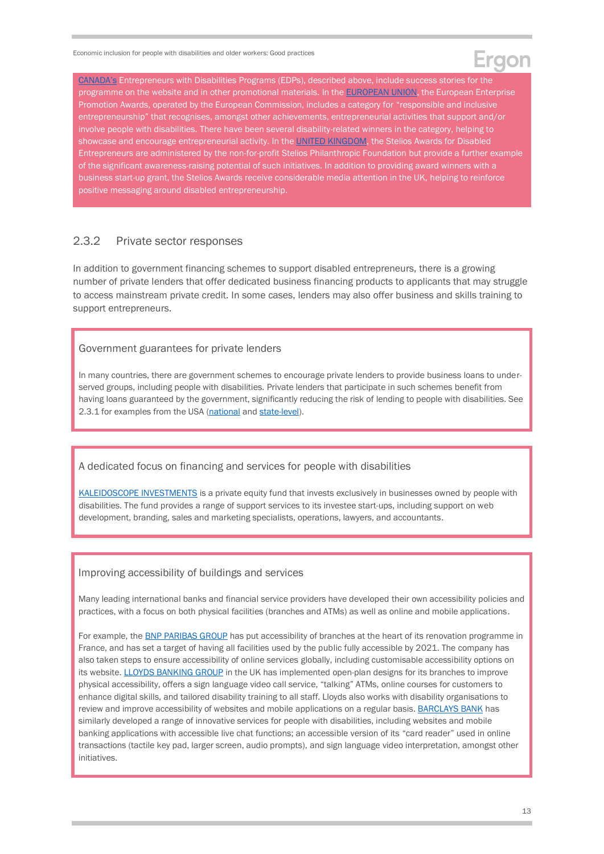### aon

[CANADA's](https://www.communityfutures.ca/edp) Entrepreneurs with Disabilities Programs (EDPs), described above, include success stories for the programme on the website and in other promotional materials. In the **EUROPEAN UNION**, the European Enterprise Promotion Awards, operated by the European Commission, includes a category for "responsible and inclusive entrepreneurship" that recognises, amongst other achievements, entrepreneurial activities that support and/or involve people with disabilities. There have been several disability-related winners in the category, helping to showcase and encourage entrepreneurial activity. In the [UNITED KINGDOM,](https://stelios.org/stelios-award-uk/blog.html) the Stelios Awards for Disabled Entrepreneurs are administered by the non-for-profit Stelios Philanthropic Foundation but provide a further example of the significant awareness-raising potential of such initiatives. In addition to providing award winners with a business start-up grant, the Stelios Awards receive considerable media attention in the UK, helping to reinforce positive messaging around disabled entrepreneurship.

### 2.3.2 Private sector responses

In addition to government financing schemes to support disabled entrepreneurs, there is a growing number of private lenders that offer dedicated business financing products to applicants that may struggle to access mainstream private credit. In some cases, lenders may also offer business and skills training to support entrepreneurs.

#### Government guarantees for private lenders

In many countries, there are government schemes to encourage private lenders to provide business loans to underserved groups, including people with disabilities. Private lenders that participate in such schemes benefit from having loans guaranteed by the government, significantly reducing the risk of lending to people with disabilities. See 2.3.1 for examples from the USA [\(national](https://www.sba.gov/funding-programs/loans) and [state-level\)](https://www2.illinois.gov/dceo/SmallBizAssistance/AdvantageIllinois/Pages/default.aspx).

#### A dedicated focus on financing and services for people with disabilities

[KALEIDOSCOPE INVESTMENTS](https://www.kaleidoscopeinvestments.com/) is a private equity fund that invests exclusively in businesses owned by people with disabilities. The fund provides a range of support services to its investee start-ups, including support on web development, branding, sales and marketing specialists, operations, lawyers, and accountants.

### Improving accessibility of buildings and services

Many leading international banks and financial service providers have developed their own accessibility policies and practices, with a focus on both physical facilities (branches and ATMs) as well as online and mobile applications.

For example, the [BNP PARIB](https://group.bnpparibas/en/news/disability-accessibility-commitment-bnp-paribas)AS GROUP has put accessibility of branches at the heart of its renovation programme in France, and has set a target of having all facilities used by the public fully accessible by 2021. The company has also taken steps to ensure accessibility of online services globally, including customisable accessibility options on its website. [LLOYDS BANKING GROUP](https://www.lloydsbankinggroup.com/who-we-are/responsible-business/inclusion-and-diversity/disability.html) in the UK has implemented open-plan designs for its branches to improve physical accessibility, offers a sign language video call service, "talking" ATMs, online courses for customers to enhance digital skills, and tailored disability training to all staff. Lloyds also works with disability organisations to review and improve accessibility of websites and mobile applications on a regular basis. [BARCLAYS BANK](https://bighack.org/how-banks-are-supporting-disabled-customers-during-coronavirus/) has similarly developed a range of innovative services for people with disabilities, including websites and mobile banking applications with accessible live chat functions; an accessible version of its "card reader" used in online transactions (tactile key pad, larger screen, audio prompts), and sign language video interpretation, amongst other initiatives.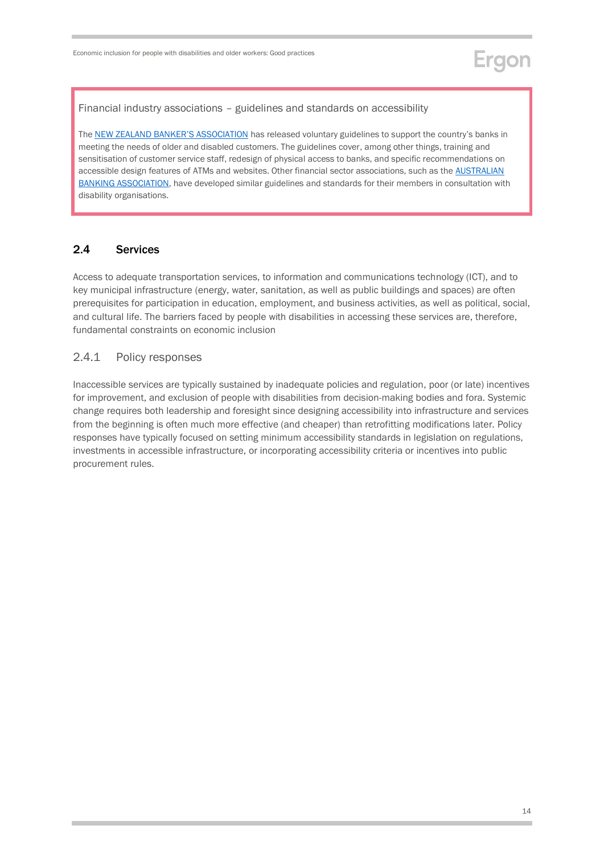Financial industry associations – guidelines and standards on accessibility

The NEW ZEALAND B[ANKER'S ASSOCIATION](https://g3ict.org/publication/inclusive-financial-services-for-seniors-and-persons-with-disabilities-global-trends-in-accessibility-requirements) has released voluntary guidelines to support the country's banks in meeting the needs of older and disabled customers. The guidelines cover, among other things, training and sensitisation of customer service staff, redesign of physical access to banks, and specific recommendations on accessible design features of ATMs and websites. Other financial sector associations, such as the [AUSTRALIAN](https://www.ausbanking.org.au/accessible-authentication/)  [BANKING ASSOCIATION,](https://www.ausbanking.org.au/accessible-authentication/) have developed similar guidelines and standards for their members in consultation with disability organisations.

### <span id="page-13-0"></span>2.4 Services

Access to adequate transportation services, to information and communications technology (ICT), and to key municipal infrastructure (energy, water, sanitation, as well as public buildings and spaces) are often prerequisites for participation in education, employment, and business activities, as well as political, social, and cultural life. The barriers faced by people with disabilities in accessing these services are, therefore, fundamental constraints on economic inclusion

### 2.4.1 Policy responses

Inaccessible services are typically sustained by inadequate policies and regulation, poor (or late) incentives for improvement, and exclusion of people with disabilities from decision-making bodies and fora. Systemic change requires both leadership and foresight since designing accessibility into infrastructure and services from the beginning is often much more effective (and cheaper) than retrofitting modifications later. Policy responses have typically focused on setting minimum accessibility standards in legislation on regulations, investments in accessible infrastructure, or incorporating accessibility criteria or incentives into public procurement rules.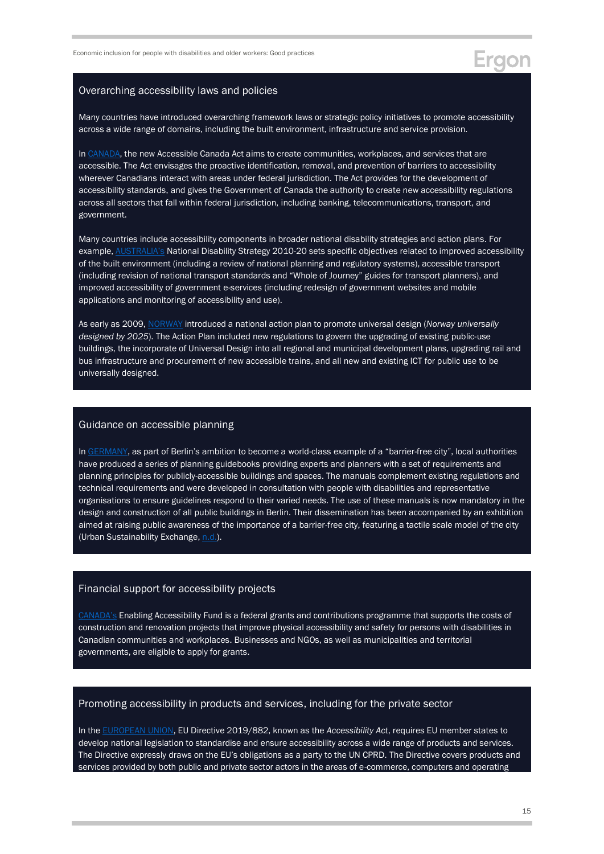## Eraon

#### Overarching accessibility laws and policies

Many countries have introduced overarching framework laws or strategic policy initiatives to promote accessibility across a wide range of domains, including the built environment, infrastructure and service provision.

In [CANADA,](https://parl.ca/DocumentViewer/en/42-1/bill/C-81/royal-assent) the new Accessible Canada Act aims to create communities, workplaces, and services that are accessible. The Act envisages the proactive identification, removal, and prevention of barriers to accessibility wherever Canadians interact with areas under federal jurisdiction. The Act provides for the development of accessibility standards, and gives the Government of Canada the authority to create new accessibility regulations across all sectors that fall within federal jurisdiction, including banking, telecommunications, transport, and government.

Many countries include accessibility components in broader national disability strategies and action plans. For example, [AUSTRALIA's](https://www.un.org/development/desa/disabilities/wp-content/uploads/sites/15/2019/10/Australia_National-Disability-Strategy-2010-%E2%80%93-2020.pdf) National Disability Strategy 2010-20 sets specific objectives related to improved accessibility of the built environment (including a review of national planning and regulatory systems), accessible transport (including revision of national transport standards and "Whole of Journey" guides for transport planners), and improved accessibility of government e-services (including redesign of government websites and mobile applications and monitoring of accessibility and use).

As early as 2009, [NORWAY](https://www.un.org/development/desa/disabilities/wp-content/uploads/sites/15/2019/10/Norway_Norway-Universally-Designed-by-2025.pdf) introduced a national action plan to promote universal design (*Norway universally designed by 2025*). The Action Plan included new regulations to govern the upgrading of existing public-use buildings, the incorporate of Universal Design into all regional and municipal development plans, upgrading rail and bus infrastructure and procurement of new accessible trains, and all new and existing ICT for public use to be universally designed.

#### Guidance on accessible planning

In [GERMANY,](https://www.unece.org/fileadmin/DAM/pau/age/Policy_briefs/ECE_WG-1_35.pdf) as part of Berlin's ambition to become a world-class example of a "barrier-free city", local authorities have produced a series of planning guidebooks providing experts and planners with a set of requirements and planning principles for publicly-accessible buildings and spaces. The manuals complement existing regulations and technical requirements and were developed in consultation with people with disabilities and representative organisations to ensure guidelines respond to their varied needs. The use of these manuals is now mandatory in the design and construction of all public buildings in Berlin. Their dissemination has been accompanied by an exhibition aimed at raising public awareness of the importance of a barrier-free city, featuring a tactile scale model of the city (Urban Sustainability Exchange[, n.d.\)](https://use.metropolis.org/case-studies/making-berlin-accessible-to-all#casestudydetail).

#### Financial support for accessibility projects

[CANADA's](https://www.canada.ca/en/employment-social-development/programs/enabling-accessibility-fund.html) Enabling Accessibility Fund is a federal grants and contributions programme that supports the costs of construction and renovation projects that improve physical accessibility and safety for persons with disabilities in Canadian communities and workplaces. Businesses and NGOs, as well as municipalities and territorial governments, are eligible to apply for grants.

contributions programme that supports the capital costs of construction and renovation projects that improve

#### Promoting accessibility in products and services, including for the private sector provides funding to eligible capital projects that increase PWD access to community spaces and workplaces across

In the [EUROPEAN UNION,](https://eur-lex.europa.eu/eli/dir/2019/882/oj?locale=en) EU Directive 2019/882, known as the Accessibility Act, requires EU member states to employ<u>. External traditional politician (UNECE).</u><br>Notation in additional location and a characteristics. Digital accessibility: The Act on Digital Accessibility requires state or local-government owned banks or develop national legislation to standardise and ensure accessibility across a wide range of products and services. The Directive expressly draws on the EU's obligations as a party to the UN CPRD. The Directive covers products and services provided by both public and private sector actors in the areas of e-commerce, computers and operating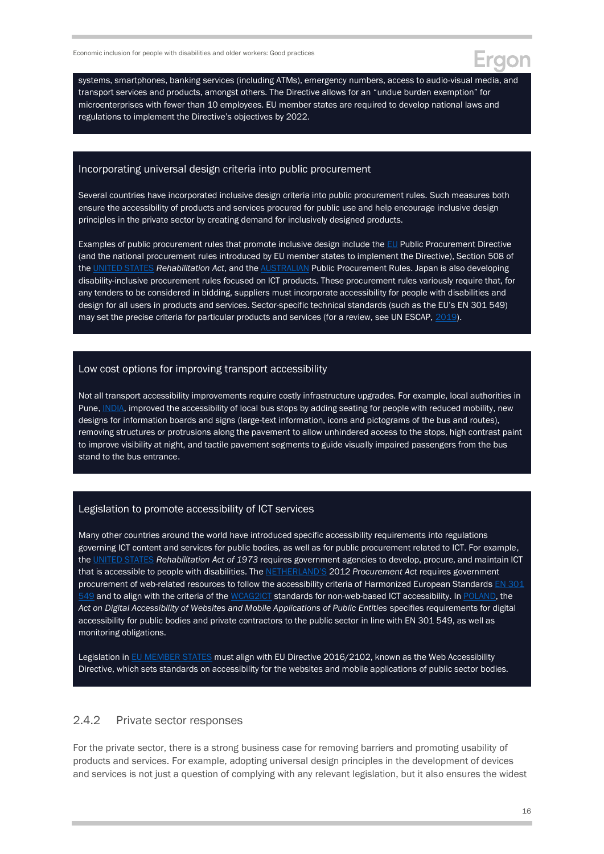systems, smartphones, banking services (including ATMs), emergency numbers, access to audio-visual media, and transport services and products, amongst others. The Directive allows for an "undue burden exemption" for microenterprises with fewer than 10 employees. EU member states are required to develop national laws and regulations to implement the Directive's objectives by 2022.

#### Incorporating universal design criteria into public procurement

Several countries have incorporated inclusive design criteria into public procurement rules. Such measures both ensure the accessibility of products and services procured for public use and help encourage inclusive design principles in the private sector by creating demand for inclusively designed products.

Examples of public procurement rules that promote inclusive design include th[e EU](https://www.unescap.org/sites/default/files/PP%202019-01_Disability%20Inclusive%20Procurement_rev.pdf) Public Procurement Directive (and the national procurement rules introduced by EU member states to implement the Directive), Section 508 of the [UNITED STATES](https://www.law.cornell.edu/uscode/text/29/794d) *Rehabilitation Act*, and the [AUSTRALIAN](https://www.unescap.org/sites/default/files/PP%202019-01_Disability%20Inclusive%20Procurement_rev.pdf) Public Procurement Rules. Japan is also developing disability-inclusive procurement rules focused on ICT products. These procurement rules variously require that, for any tenders to be considered in bidding, suppliers must incorporate accessibility for people with disabilities and design for all users in products and services. Sector-specific technical standards (such as the EU's EN 301 549) may set the precise criteria for particular products and services (for a review, see UN ESCAP, [2019\)](https://www.unescap.org/sites/default/files/PP%202019-01_Disability%20Inclusive%20Procurement_rev.pdf).

#### Low cost options for improving transport accessibility

Not all transport accessibility improvements require costly infrastructure upgrades. For example, local authorities in Pune[, INDIA,](http://documents1.worldbank.org/curated/en/575221468278939280/pdf/Accessibility0Report0Final.pdf) improved the accessibility of local bus stops by adding seating for people with reduced mobility, new designs for information boards and signs (large-text information, icons and pictograms of the bus and routes), removing structures or protrusions along the pavement to allow unhindered access to the stops, high contrast paint to improve visibility at night, and tactile pavement segments to guide visually impaired passengers from the bus stand to the bus entrance.

#### Legislation to promote accessibility of ICT services

Many other countries around the world have introduced specific accessibility requirements into regulations governing ICT content and services for public bodies, as well as for public procurement related to ICT. For example, the [UNITED STATES](https://www.law.cornell.edu/uscode/text/29/794d) *Rehabilitation Act of 1973* requires government agencies to develop, procure, and maintain ICT that is accessible to people with disabilities. The [NETHERLAND'S](https://wetten.overheid.nl/BWBR0032203/2016-07-01) 2012 *Procurement Act* requires government procurement of web-related resources to follow the accessibility criteria of Harmonized European Standards [EN 301](https://www.etsi.org/deliver/etsi_en/301500_301599/301549/02.01.02_60/en_301549v020102p.pdf)  [549](https://www.etsi.org/deliver/etsi_en/301500_301599/301549/02.01.02_60/en_301549v020102p.pdf) and to align with the criteria of the [WCAG2ICT](https://www.w3.org/TR/wcag2ict/) standards for non-web-based ICT accessibility. In [POLAND,](https://sip.lex.pl/akty-prawne/dzu-dziennik-ustaw/dostepnosc-cyfrowa-stron-internetowych-i-aplikacji-mobilnych-podmiotow-18850316) the *Act on Digital Accessibility of Websites and Mobile Applications of Public Entities* specifies requirements for digital accessibility for public bodies and private contractors to the public sector in line with EN 301 549, as well as monitoring obligations.

Legislation in **EU MEMBER STATES** must align with EU Directive 2016/2102, known as the Web Accessibility Directive, which sets standards on accessibility for the websites and mobile applications of public sector bodies.

#### 2.4.2 Private sector responses

For the private sector, there is a strong business case for removing barriers and promoting usability of products and services. For example, adopting universal design principles in the development of devices and services is not just a question of complying with any relevant legislation, but it also ensures the widest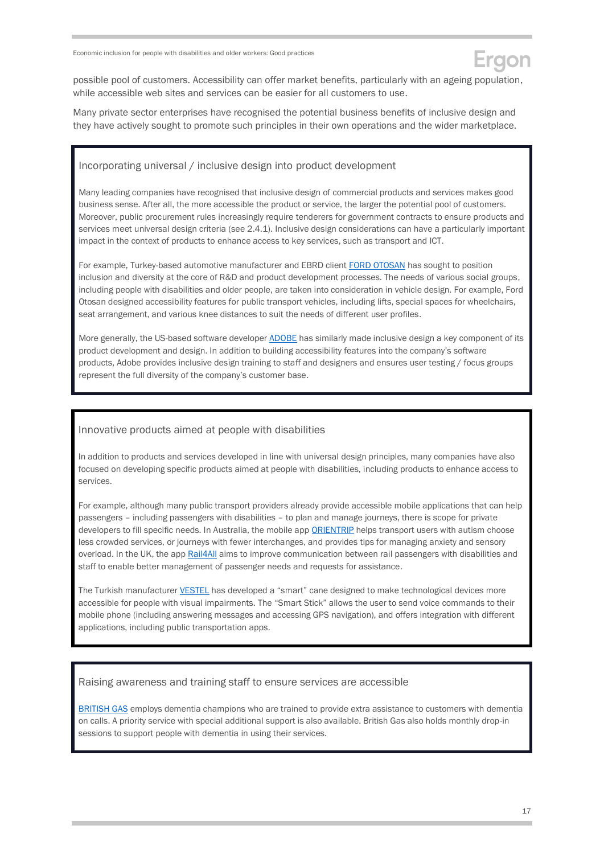

possible pool of customers. Accessibility can offer market benefits, particularly with an ageing population, while accessible web sites and services can be easier for all customers to use.

Many private sector enterprises have recognised the potential business benefits of inclusive design and they have actively sought to promote such principles in their own operations and the wider marketplace.

#### Incorporating universal / inclusive design into product development

Many leading companies have recognised that inclusive design of commercial products and services makes good business sense. After all, the more accessible the product or service, the larger the potential pool of customers. Moreover, public procurement rules increasingly require tenderers for government contracts to ensure products and services meet universal design criteria (see 2.4.1). Inclusive design considerations can have a particularly important impact in the context of products to enhance access to key services, such as transport and ICT.

For example, Turkey-based automotive manufacturer and EBRD client [FORD OTOSAN](https://www.fordotosan.com.tr/en/sustainability/sustainability-reports) has sought to position inclusion and diversity at the core of R&D and product development processes. The needs of various social groups, including people with disabilities and older people, are taken into consideration in vehicle design. For example, Ford Otosan designed accessibility features for public transport vehicles, including lifts, special spaces for wheelchairs, seat arrangement, and various knee distances to suit the needs of different user profiles.

More generally, the US-based software developer [ADOBE](https://adobe.design/inclusive/) has similarly made inclusive design a key component of its product development and design. In addition to building accessibility features into the company's software products, Adobe provides inclusive design training to staff and designers and ensures user testing / focus groups represent the full diversity of the company's customer base.

#### Innovative products aimed at people with disabilities

In addition to products and services developed in line with universal design principles, many companies have also focused on developing specific products aimed at people with disabilities, including products to enhance access to services.

For example, although many public transport providers already provide accessible mobile applications that can help passengers – including passengers with disabilities – to plan and manage journeys, there is scope for private developers to fill specific needs. In Australia, the mobile app [ORIENTRIP](https://www.acri.net.au/wp-content/uploads/2019/11/Rail-travel-and-disability-An-international-perspective-on-accessibility_Final.pdf) helps transport users with autism choose less crowded services, or journeys with fewer interchanges, and provides tips for managing anxiety and sensory overload. In the UK, the app [Rail4All](https://rssb.wavecast.io/rail4all) aims to improve communication between rail passengers with disabilities and staff to enable better management of passenger needs and requests for assistance.

The Turkish manufacture[r VESTEL](http://www.vestelinvestorrelations.com/en/_assets/pdf/AnnualReport_2019.pdf) has developed a "smart" cane designed to make technological devices more accessible for people with visual impairments. The "Smart Stick" allows the user to send voice commands to their mobile phone (including answering messages and accessing GPS navigation), and offers integration with different applications, including public transportation apps.

#### Raising awareness and training staff to ensure services are accessible

[BRITISH GAS](https://www.britishgas.co.uk/the-source/making-a-difference/a-helping-hand/Dementia-Action-Week) employs dementia champions who are trained to provide extra assistance to customers with dementia on calls. A priority service with special additional support is also available. British Gas also holds monthly drop-in sessions to support people with dementia in using their services.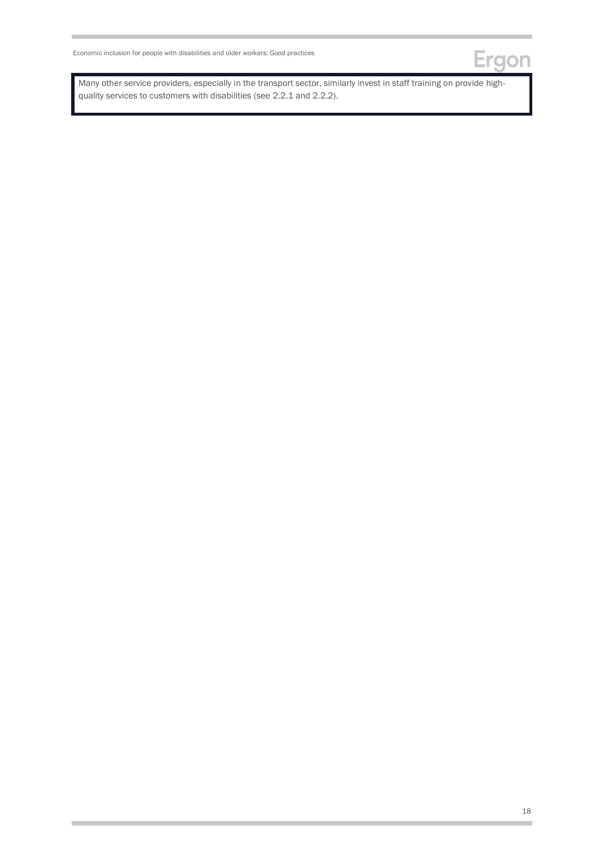

Many other service providers, especially in the transport sector, similarly invest in staff training on provide highquality services to customers with disabilities (see 2.2.1 and 2.2.2).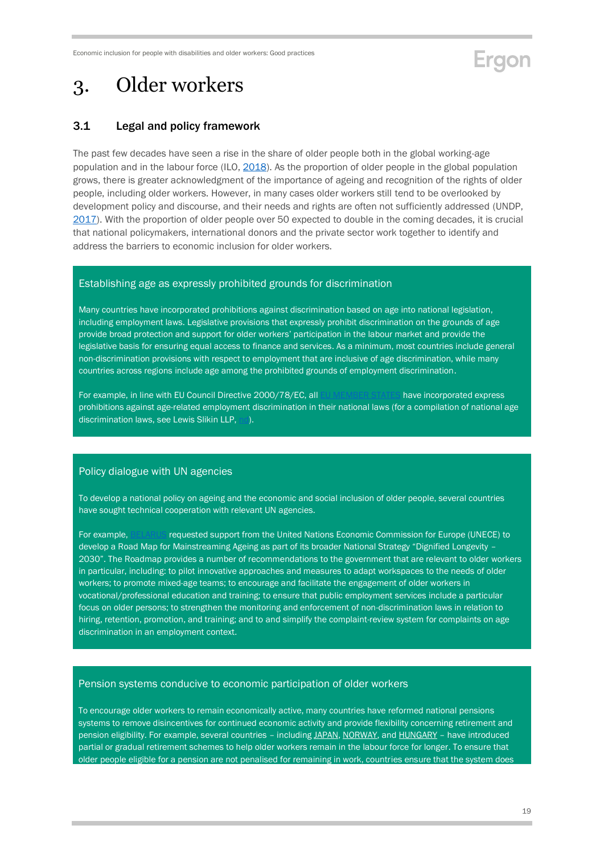## Ergon

## <span id="page-18-0"></span>3. Older workers

### <span id="page-18-1"></span>3.1 Legal and policy framework

The past few decades have seen a rise in the share of older people both in the global working-age population and in the labour force (ILO, [2018\)](https://www.ilo.org/wcmsp5/groups/public/---dgreports/---stat/documents/publication/wcms_629567.pdf). As the proportion of older people in the global population grows, there is greater acknowledgment of the importance of ageing and recognition of the rights of older people, including older workers. However, in many cases older workers still tend to be overlooked by development policy and discourse, and their needs and rights are often not sufficiently addressed (UNDP, [2017\)](https://www.undp.org/content/undp/en/home/librarypage/poverty-reduction/ageing--older-persons-and-the-2030-agenda-for-sustainable-develo.html). With the proportion of older people over 50 expected to double in the coming decades, it is crucial that national policymakers, international donors and the private sector work together to identify and address the barriers to economic inclusion for older workers.

#### Establishing age as expressly prohibited grounds for discrimination

Many countries have incorporated prohibitions against discrimination based on age into national legislation, including employment laws. Legislative provisions that expressly prohibit discrimination on the grounds of age provide broad protection and support for older workers' participation in the labour market and provide the legislative basis for ensuring equal access to finance and services. As a minimum, most countries include general non-discrimination provisions with respect to employment that are inclusive of age discrimination, while many countries across regions include age among the prohibited grounds of employment discrimination.

For example, in line with EU Council Directive 2000/78/EC, all [EU MEMBER STATES](https://eur-lex.europa.eu/legal-content/EN/TXT/?uri=celex%3A32000L0078) have incorporated express prohibitions against age-related employment discrimination in their national laws (for a compilation of national age discrimination laws, see Lewis Slikin LLP, [nd\)](http://www.agediscrimination.info/international).

#### Policy dialogue with UN agencies

To develop a national policy on ageing and the economic and social inclusion of older people, several countries have sought technical cooperation with relevant UN agencies.

For example, [BELARUS](http://www.unece.org/fileadmin/DAM/pau/age/Capacity_building/Road_Maps/Belarus/ECE_WG_32.pdf) requested support from the United Nations Economic Commission for Europe (UNECE) to develop a Road Map for Mainstreaming Ageing as part of its broader National Strategy "Dignified Longevity – 2030". The Roadmap provides a number of recommendations to the government that are relevant to older workers in particular, including: to pilot innovative approaches and measures to adapt workspaces to the needs of older workers; to promote mixed-age teams; to encourage and facilitate the engagement of older workers in vocational/professional education and training; to ensure that public employment services include a particular focus on older persons; to strengthen the monitoring and enforcement of non-discrimination laws in relation to hiring, retention, promotion, and training; and to and simplify the complaint-review system for complaints on age discrimination in an employment context.

#### Pension systems conducive to economic participation of older workers

To encourage older workers to remain economically active, many countries have reformed national pensions systems to remove disincentives for continued economic activity and provide flexibility concerning retirement and pension eligibility. For example, several countries - includin[g JAPAN,](https://www.who.int/ageing/events/world-report-2015-launch/en/) [NORWAY,](https://ec.europa.eu/social/BlobServlet?docId=13766&langId=en) and [HUNGARY](https://www.unfpa.org/sites/default/files/pub-pdf/Ageing%20report.pdf) - have introduced partial or gradual retirement schemes to help older workers remain in the labour force for longer. To ensure that older people eligible for a pension are not penalised for remaining in work, countries ensure that the system does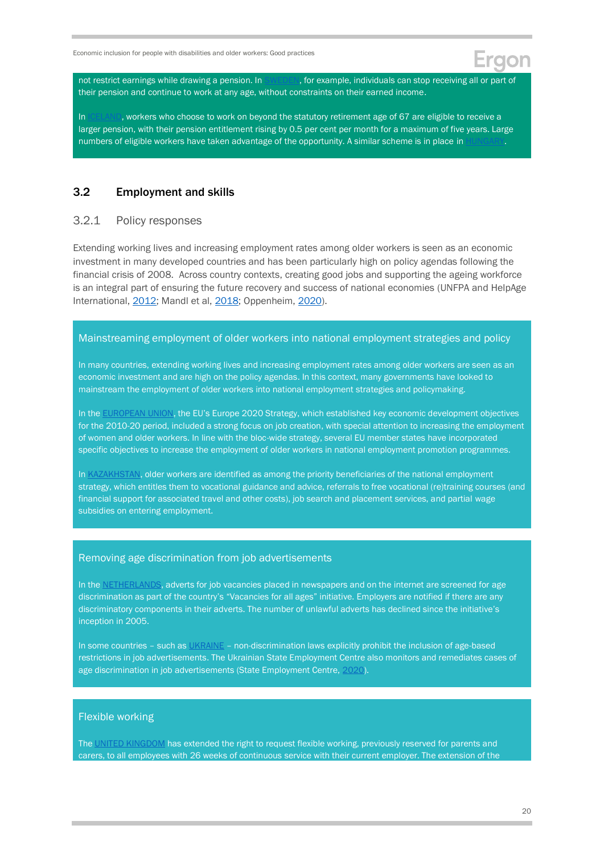not restrict earnings while drawing a pension. In [SWEDEN,](https://www.who.int/ageing/events/world-report-2015-launch/en/) for example, individuals can stop receiving all or part of their pension and continue to work at any age, without constraints on their earned income.

In  $|CELANI$ , workers who choose to work on beyond the statutory retirement age of 67 are eligible to receive a larger pension, with their pension entitlement rising by 0.5 per cent per month for a maximum of five years. Large numbers of eligible workers have taken advantage of the opportunity. A similar scheme is in place in H

#### <span id="page-19-0"></span>3.2 Employment and skills

### 3.2.1 Policy responses

Extending working lives and increasing employment rates among older workers is seen as an economic investment in many developed countries and has been particularly high on policy agendas following the financial crisis of 2008. Across country contexts, creating good jobs and supporting the ageing workforce is an integral part of ensuring the future recovery and success of national economies (UNFPA and HelpAge International, [2012;](https://www.unfpa.org/sites/default/files/pub-pdf/Ageing%20report.pdf) Mandl et al[, 2018;](https://www.jubilaciondefuturo.es/recursos/doc/pensiones/20180910/fondo-documental/older-worker.pdf) Oppenheim[, 2020\)](https://www.ageing-better.org.uk/blogs/now-time-start-hiring-older-workers).

#### Mainstreaming employment of older workers into national employment strategies and policy

In many countries, extending working lives and increasing employment rates among older workers are seen as an economic investment and are high on the policy agendas. In this context, many governments have looked to mainstream the employment of older workers into national employment strategies and policymaking.

In the [EUROPEAN UNION](https://ec.europa.eu/eu2020/pdf/COMPLET%20EN%20BARROSO%20%20%20007%20-%20Europe%202020%20-%20EN%20version.pdf), the EU's Europe 2020 Strategy, which established key economic development objectives for the 2010-20 period, included a strong focus on job creation, with special attention to increasing the employment of women and older workers. In line with the bloc-wide strategy, several EU member states have incorporated specific objectives to increase the employment of older workers in national employment promotion programmes.

In [KAZAKHSTAN,](https://www.gov.kz/memleket/entities/enbek/documents/details/7818?lang=ru) older workers are identified as among the priority beneficiaries of the national employment strategy, which entitles them to vocational guidance and advice, referrals to free vocational (re)training courses (and financial support for associated travel and other costs), job search and placement services, and partial wage subsidies on entering employment.

#### Removing age discrimination from job advertisements

In the [NETHERLANDS,](https://www.oecd-ilibrary.org/employment/working-better-with-age_c4d4f66a-en?__cf_chl_jschl_tk__=9f77905a1e5b7f5d6a88aa56f20d4332389ae2f7-1605180672-0-AVh3ZJ65poaMZfiodm0R2VOrdChWobku2pikBqyda5jaFu5-cTrpCuyUwaEKWsQSQ-6HruxSed6psfal1ffzpEX1jujcUaT2v6BvMLL_mKx99NFItB5QCM0gk3-6Gw_u0nny-tj8iDvgwZ69bVH3mVVmE-2okK29nrOfBSmZxWYw8HbSIVl0fQFYlWnVkwhbdZXRRKV2EqGlj8BsX3iJGu95OELT7P5CcWHmoblnToh6AxklW6u4ibIZFQMRFDSdSdq0VWZS3-mfaHXocoihocCoRV_SLNfBrg0OPCnoBCkphuQJv26d21YlzZp-hvw9gSXvQD5BXKQQ7Fk8NhB8CPs) adverts for job vacancies placed in newspapers and on the internet are screened for age discrimination as part of the country's "Vacancies for all ages" initiative. Employers are notified if there are any discriminatory components in their adverts. The number of unlawful adverts has declined since the initiative's inception in 2005.

In some countries - such a[s UKRAINE](https://zakon.rada.gov.ua/laws/anot/en/5067-17) - non-discrimination laws explicitly prohibit the inclusion of age-based restrictions in job advertisements. The Ukrainian State Employment Centre also monitors and remediates cases of age discrimination in job advertisements (State Employment Centre[, 2020\)](https://skills.dcz.gov.ua/plyus-a-ne-hrest-yak-rynok-praczi-spryjmaye-osib-45/).

#### Flexible working

Th[e UNITED KINGDOM](https://www.unece.org/fileadmin/DAM/pau/age/Policy_briefs/ECE-WG1-26.pdf) has extended the right to request flexible working, previously reserved for parents and carers, to all employees with 26 weeks of continuous service with their current employer. The extension of the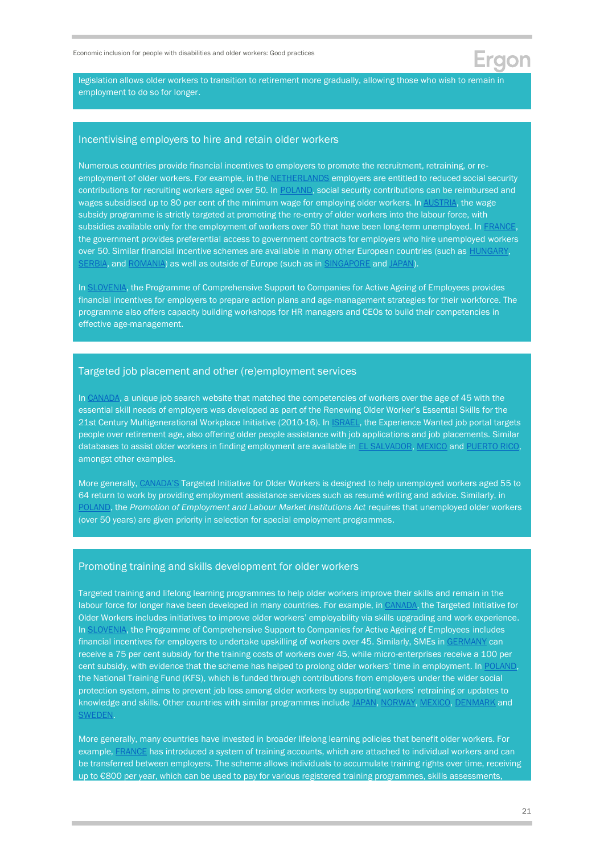legislation allows older workers to transition to retirement more gradually, allowing those who wish to remain in employment to do so for longer.

#### Incentivising employers to hire and retain older workers

Numerous countries provide financial incentives to employers to promote the recruitment, retraining, or re-employment of older workers. For example, in the [NETHERLANDS](https://www.oecd.org/els/emp/Netherlands%20key%20policies_Final.pdf) employers are entitled to reduced social security contributions for recruiting workers aged over 50. In [POLAND,](https://www.oecd-ilibrary.org/sites/8b6151c7-en/index.html?itemId=/content/component/8b6151c7-en) social security contributions can be reimbursed and wages subsidised up to 80 per cent of the minimum wage for employing older workers. In [AUSTRIA,](https://www.oecd-ilibrary.org/sites/8b6151c7-en/index.html?itemId=/content/component/8b6151c7-en) the wage subsidy programme is strictly targeted at promoting the re-entry of older workers into the labour force, with subsidies available only for the employment of workers over 50 that have been long-term unemployed. I[n FRANCE,](https://www.who.int/ageing/events/world-report-2015-launch/en/) the government provides preferential access to government contracts for employers who hire unemployed workers over 50. Similar financial incentive schemes are available in many other European countries (such as [HUNGARY,](https://www.unfpa.org/sites/default/files/pub-pdf/Ageing%20report.pdf) [SERBIA,](https://www.unfpa.org/sites/default/files/pub-pdf/Ageing%20report.pdf) an[d ROMANIA\)](https://www.oecd.org/countries/romania/Romania_Key%20policies_Final.pdf) as well as outside of Europe (such as in [SINGAPORE](https://www.unfpa.org/sites/default/files/pub-pdf/Ageing%20report.pdf) and [JAPAN\)](https://www.unfpa.org/sites/default/files/pub-pdf/Ageing%20report.pdf).

In [SLOVENIA,](https://www.oecd-ilibrary.org/employment/working-better-with-age_c4d4f66a-en?__cf_chl_jschl_tk__=9f77905a1e5b7f5d6a88aa56f20d4332389ae2f7-1605180672-0-AVh3ZJ65poaMZfiodm0R2VOrdChWobku2pikBqyda5jaFu5-cTrpCuyUwaEKWsQSQ-6HruxSed6psfal1ffzpEX1jujcUaT2v6BvMLL_mKx99NFItB5QCM0gk3-6Gw_u0nny-tj8iDvgwZ69bVH3mVVmE-2okK29nrOfBSmZxWYw8HbSIVl0fQFYlWnVkwhbdZXRRKV2EqGlj8BsX3iJGu95OELT7P5CcWHmoblnToh6AxklW6u4ibIZFQMRFDSdSdq0VWZS3-mfaHXocoihocCoRV_SLNfBrg0OPCnoBCkphuQJv26d21YlzZp-hvw9gSXvQD5BXKQQ7Fk8NhB8CPs) the Programme of Comprehensive Support to Companies for Active Ageing of Employees provides financial incentives for employers to prepare action plans and age-management strategies for their workforce. The programme also offers capacity building workshops for HR managers and CEOs to build their competencies in effective age-management.

#### Targeted job placement and other (re)employment services

In [CANADA,](https://www.unece.org/fileadmin/DAM/pau/age/Policy_briefs/ECE-WG1-26.pdf) a unique job search website that matched the competencies of workers over the age of 45 with the essential skill needs of employers was developed as part of the Renewing Older Worker's Essential Skills for the 21st Century Multigenerational Workplace Initiative (2010-16). In *ISRAEL*, the Experience Wanted job portal targets people over retirement age, also offering older people assistance with job applications and job placements. Similar databases to assist older workers in finding employment are available in [EL SALVADOR, MEXICO](https://www.unfpa.org/sites/default/files/pub-pdf/Ageing%20report.pdf) and [PUERTO RICO,](https://www.unfpa.org/sites/default/files/pub-pdf/Ageing%20report.pdf)  amongst other examples.

More generally, [CANADA'S](https://www.canada.ca/en/employment-social-development/programs/training-agreements/older-workers.html) Targeted Initiative for Older Workers is designed to help unemployed workers aged 55 to 64 return to work by providing employment assistance services such as resumé writing and advice. Similarly, in [POLAND,](https://isap.sejm.gov.pl/isap.nsf/download.xsp/WDU20040991001/U/D20041001Lj.pdf) the *Promotion of Employment and Labour Market Institutions Act* requires that unemployed older workers (over 50 years) are given priority in selection for special employment programmes.

#### Promoting training and skills development for older workers

Targeted training and lifelong learning programmes to help older workers improve their skills and remain in the labour force for longer have been developed in many countries. For example, i[n CANADA,](https://www.canada.ca/en/employment-social-development/programs/training-agreements/older-workers.html) the Targeted Initiative for Older Workers includes initiatives to improve older workers' employability via skills upgrading and work experience. In [SLOVENIA,](https://www.oecd-ilibrary.org/employment/working-better-with-age_c4d4f66a-en?__cf_chl_jschl_tk__=9f77905a1e5b7f5d6a88aa56f20d4332389ae2f7-1605180672-0-AVh3ZJ65poaMZfiodm0R2VOrdChWobku2pikBqyda5jaFu5-cTrpCuyUwaEKWsQSQ-6HruxSed6psfal1ffzpEX1jujcUaT2v6BvMLL_mKx99NFItB5QCM0gk3-6Gw_u0nny-tj8iDvgwZ69bVH3mVVmE-2okK29nrOfBSmZxWYw8HbSIVl0fQFYlWnVkwhbdZXRRKV2EqGlj8BsX3iJGu95OELT7P5CcWHmoblnToh6AxklW6u4ibIZFQMRFDSdSdq0VWZS3-mfaHXocoihocCoRV_SLNfBrg0OPCnoBCkphuQJv26d21YlzZp-hvw9gSXvQD5BXKQQ7Fk8NhB8CPs) the Programme of Comprehensive Support to Companies for Active Ageing of Employees includes financial incentives for employers to undertake upskilling of workers over 45. Similarly, SMEs in [GERMANY](https://www.oecd-ilibrary.org/employment/working-better-with-age_c4d4f66a-en?__cf_chl_jschl_tk__=9f77905a1e5b7f5d6a88aa56f20d4332389ae2f7-1605180672-0-AVh3ZJ65poaMZfiodm0R2VOrdChWobku2pikBqyda5jaFu5-cTrpCuyUwaEKWsQSQ-6HruxSed6psfal1ffzpEX1jujcUaT2v6BvMLL_mKx99NFItB5QCM0gk3-6Gw_u0nny-tj8iDvgwZ69bVH3mVVmE-2okK29nrOfBSmZxWYw8HbSIVl0fQFYlWnVkwhbdZXRRKV2EqGlj8BsX3iJGu95OELT7P5CcWHmoblnToh6AxklW6u4ibIZFQMRFDSdSdq0VWZS3-mfaHXocoihocCoRV_SLNfBrg0OPCnoBCkphuQJv26d21YlzZp-hvw9gSXvQD5BXKQQ7Fk8NhB8CPs) can receive a 75 per cent subsidy for the training costs of workers over 45, while micro-enterprises receive a 100 per cent subsidy, with evidence that the scheme has helped to prolong older workers' time in employment. I[n POLAND,](https://www.unece.org/fileadmin/DAM/pau/age/country_rpts/2017/POL-Report-EN.pdf) the National Training Fund (KFS), which is funded through contributions from employers under the wider social protection system, aims to prevent job loss among older workers by supporting workers' retraining or updates to knowledge and skills. Other countries with similar programmes include [JAPAN, NORWAY,](https://www.who.int/ageing/events/world-report-2015-launch/en/) [MEXICO, DENMARK](https://www.unfpa.org/sites/default/files/pub-pdf/Ageing%20report.pdf) and [SWEDEN.](https://www.unfpa.org/sites/default/files/pub-pdf/Ageing%20report.pdf)

More generally, many countries have invested in broader lifelong learning policies that benefit older workers. For example, [FRANCE](https://www.oecd.org/els/emp/individual-learning-accounts.pdf) has introduced a system of training accounts, which are attached to individual workers and can be transferred between employers. The scheme allows individuals to accumulate training rights over time, receiving up to €800 per year, which can be used to pay for various registered training programmes, skills assessments,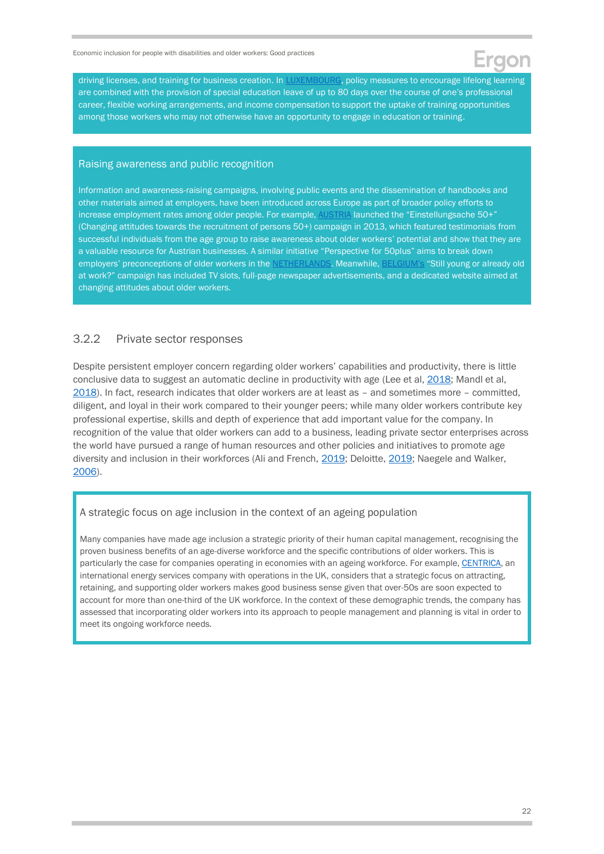driving licenses, and training for business creation. In **LUXEMBOURG**, policy measures to encourage lifelong learning are combined with the provision of special education leave of up to 80 days over the course of one's professional career, flexible working arrangements, and income compensation to support the uptake of training opportunities among those workers who may not otherwise have an opportunity to engage in education or training.

#### Raising awareness and public recognition

Information and awareness-raising campaigns, involving public events and the dissemination of handbooks and other materials aimed at employers, have been introduced across Europe as part of broader policy efforts to increase employment rates among older people. For example, [AUSTRIA](https://www.unece.org/fileadmin/DAM/pau/age/Policy_briefs/ECE-WG1-30.pdf) launched the "Einstellungsache 50+" (Changing attitudes towards the recruitment of persons 50+) campaign in 2013, which featured testimonials from successful individuals from the age group to raise awareness about older workers' potential and show that they are a valuable resource for Austrian businesses. A similar initiative "Perspective for 50plus" aims to break down employers' preconceptions of older workers in the [NETHERLANDS.](https://www.unece.org/fileadmin/DAM/pau/age/Policy_briefs/ECE-WG1-30.pdf) Meanwhile, [BELGIUM's](https://www.unece.org/fileadmin/DAM/pau/age/Policy_briefs/ECE-WG1-30.pdf) "Still young or already old at work?" campaign has included TV slots, full-page newspaper advertisements, and a dedicated website aimed at changing attitudes about older workers.

#### 3.2.2 Private sector responses

Despite persistent employer concern regarding older workers' capabilities and productivity, there is little conclusive data to suggest an automatic decline in productivity with age (Lee et al, [2018;](https://doi.org/10.1177%2F1035304618811008) Mandl et al, [2018\)](https://www.jubilaciondefuturo.es/recursos/doc/pensiones/20180910/fondo-documental/older-worker.pdf). In fact, research indicates that older workers are at least as – and sometimes more – committed, diligent, and loyal in their work compared to their younger peers; while many older workers contribute key professional expertise, skills and depth of experience that add important value for the company. In recognition of the value that older workers can add to a business, leading private sector enterprises across the world have pursued a range of human resources and other policies and initiatives to promote age diversity and inclusion in their workforces (Ali and French, [2019;](https://doi.org/10.1111/1748-8583.12225) Deloitte, [2019;](https://www.shrm.org/resourcesandtools/hr-topics/global-hr/pages/checklist-of-age-inclusion-.aspx) Naegele and Walker, [2006\)](http://www.ageingatwork.eu/resources/a-guide-to-good-practice-in-age-management.pdf).

#### A strategic focus on age inclusion in the context of an ageing population

Many companies have made age inclusion a strategic priority of their human capital management, recognising the proven business benefits of an age-diverse workforce and the specific contributions of older workers. This is particularly the case for companies operating in economies with an ageing workforce. For example[, CENTRICA,](https://www.centrica.com/stories/2014/valuing-our-older-people/) an international energy services company with operations in the UK, considers that a strategic focus on attracting, retaining, and supporting older workers makes good business sense given that over-50s are soon expected to account for more than one-third of the UK workforce. In the context of these demographic trends, the company has assessed that incorporating older workers into its approach to people management and planning is vital in order to meet its ongoing workforce needs.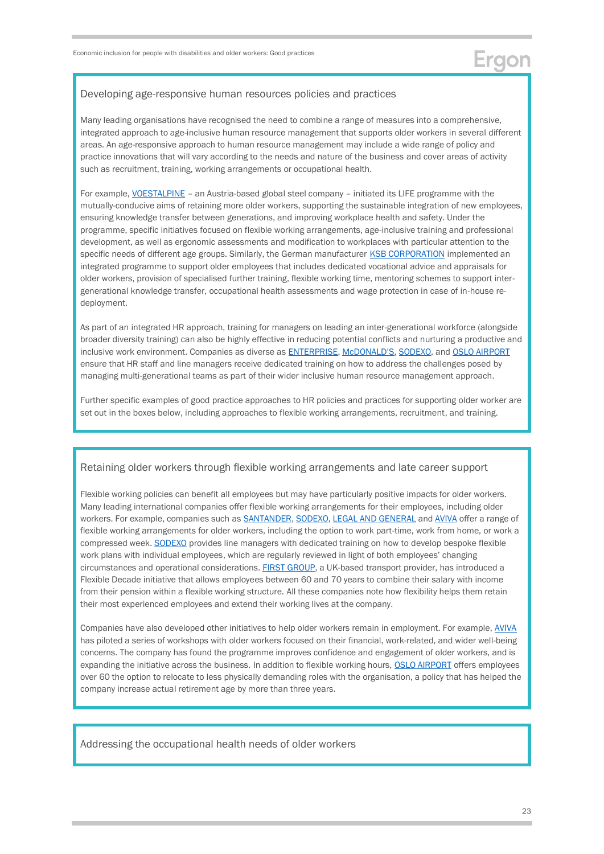#### Developing age-responsive human resources policies and practices

Many leading organisations have recognised the need to combine a range of measures into a comprehensive, integrated approach to age-inclusive human resource management that supports older workers in several different areas. An age-responsive approach to human resource management may include a wide range of policy and practice innovations that will vary according to the needs and nature of the business and cover areas of activity such as recruitment, training, working arrangements or occupational health.

For example, [VOESTALPINE](http://www.ageingatwork.eu/resources/a-guide-to-good-practice-in-age-management.pdf) - an Austria-based global steel company - initiated its LIFE programme with the mutually-conducive aims of retaining more older workers, supporting the sustainable integration of new employees, ensuring knowledge transfer between generations, and improving workplace health and safety. Under the programme, specific initiatives focused on flexible working arrangements, age-inclusive training and professional development, as well as ergonomic assessments and modification to workplaces with particular attention to the specific needs of different age groups. Similarly, the German manufacturer [KSB CORPORATION](http://www.ageingatwork.eu/resources/a-guide-to-good-practice-in-age-management.pdf) implemented an integrated programme to support older employees that includes dedicated vocational advice and appraisals for older workers, provision of specialised further training, flexible working time, mentoring schemes to support intergenerational knowledge transfer, occupational health assessments and wage protection in case of in-house redeployment.

As part of an integrated HR approach, training for managers on leading an inter-generational workforce (alongside broader diversity training) can also be highly effective in reducing potential conflicts and nurturing a productive and inclusive work environment. Companies as diverse as [ENTERPRISE,](https://www.cipd.co.uk/Images/managing-an-age-diverse-workforce_2015-what-employers-need-to-know_tcm18-10832.pdf) [McDONALD'S](https://www.cipd.co.uk/Images/managing-an-age-diverse-workforce_2015-what-employers-need-to-know_tcm18-10832.pdf), [SODEXO,](https://www.ageing-better.org.uk/sites/default/files/2018-09/Being-age-friendly-employer-evidence-report.pdf) and [OSLO AIRPORT](https://www.oecd-ilibrary.org/docserver/dc7b2222-en.pdf?expires=1611838582&id=id&accname=guest&checksum=00325894DDEBA3FC24295B0D71BFF8B0) ensure that HR staff and line managers receive dedicated training on how to address the challenges posed by managing multi-generational teams as part of their wider inclusive human resource management approach.

Further specific examples of good practice approaches to HR policies and practices for supporting older worker are set out in the boxes below, including approaches to flexible working arrangements, recruitment, and training.

#### Retaining older workers through flexible working arrangements and late career support

Flexible working policies can benefit all employees but may have particularly positive impacts for older workers. Many leading international companies offer flexible working arrangements for their employees, including older workers. For example, companies such as [SANTANDER,](https://www.cipd.co.uk/Images/managing-an-age-diverse-workforce_2015-what-employers-need-to-know_tcm18-10832.pdf) [SODEXO,](https://www.ageuk.org.uk/scotland/services/age-inclusive-workplaces/age-inclusive-matrix-hr-support-for-an-age-inclusive-workplace/) [LEGAL AND GENERAL](https://www.ageing-better.org.uk/sites/default/files/2020-09/Timewise-Flex-Working-full-report.pdf) and [AVIVA](https://www.bitc.org.uk/wp-content/uploads/2020/11/bitc-toolkit-age-becominganagefriendlyemployer-nov20.pdf) offer a range of flexible working arrangements for older workers, including the option to work part-time, work from home, or work a compressed week[. SODEXO](https://www.ageing-better.org.uk/sites/default/files/2018-09/Being-age-friendly-employer-evidence-report.pdf) provides line managers with dedicated training on how to develop bespoke flexible work plans with individual employees, which are regularly reviewed in light of both employees' changing circumstances and operational considerations. [FIRST GROUP,](http://www.ageingatwork.eu/resources/a-guide-to-good-practice-in-age-management.pdf) a UK-based transport provider, has introduced a Flexible Decade initiative that allows employees between 60 and 70 years to combine their salary with income from their pension within a flexible working structure. All these companies note how flexibility helps them retain their most experienced employees and extend their working lives at the company.

Companies have also developed other initiatives to help older workers remain in employment. For example[, AVIVA](https://www.bitc.org.uk/wp-content/uploads/2020/11/bitc-toolkit-age-becominganagefriendlyemployer-nov20.pdf) has piloted a series of workshops with older workers focused on their financial, work-related, and wider well-being concerns. The company has found the programme improves confidence and engagement of older workers, and is expanding the initiative across the business. In addition to flexible working hours, [OSLO AIRPORT](https://www.oecd-ilibrary.org/docserver/dc7b2222-en.pdf?expires=1611838582&id=id&accname=guest&checksum=00325894DDEBA3FC24295B0D71BFF8B0) offers employees over 60 the option to relocate to less physically demanding roles with the organisation, a policy that has helped the company increase actual retirement age by more than three years.

Addressing the occupational health needs of older workers

Ergon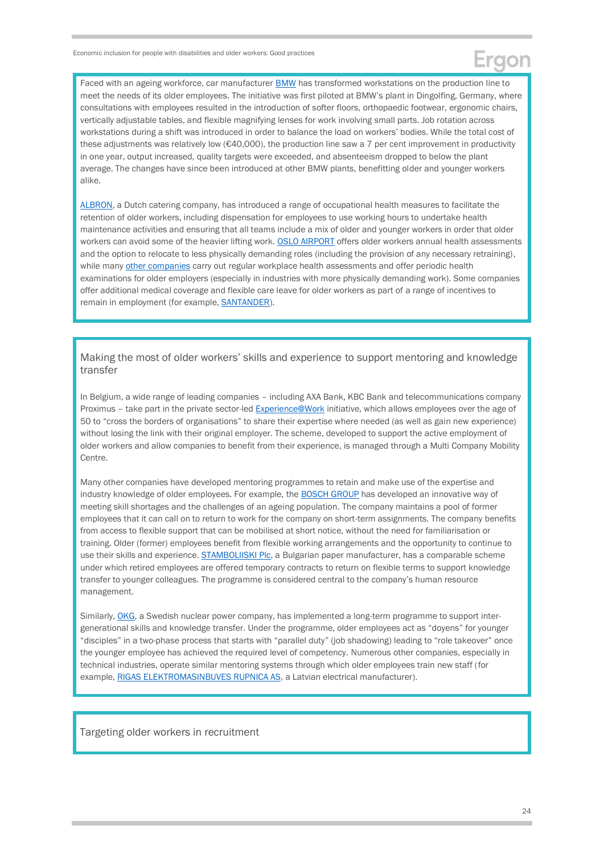Faced with an ageing workforce, car manufacturer **BMW** has transformed workstations on the production line to meet the needs of its older employees. The initiative was first piloted at BMW's plant in Dingolfing, Germany, where consultations with employees resulted in the introduction of softer floors, orthopaedic footwear, ergonomic chairs, vertically adjustable tables, and flexible magnifying lenses for work involving small parts. Job rotation across workstations during a shift was introduced in order to balance the load on workers' bodies. While the total cost of these adjustments was relatively low ( $\epsilon$ 40,000), the production line saw a 7 per cent improvement in productivity in one year, output increased, quality targets were exceeded, and absenteeism dropped to below the plant average. The changes have since been introduced at other BMW plants, benefitting older and younger workers alike.

[ALBRON,](http://www.ageingatwork.eu/resources/a-guide-to-good-practice-in-age-management.pdf) a Dutch catering company, has introduced a range of occupational health measures to facilitate the retention of older workers, including dispensation for employees to use working hours to undertake health maintenance activities and ensuring that all teams include a mix of older and younger workers in order that older workers can avoid some of the heavier lifting work[. OSLO AIRPORT](https://www.oecd-ilibrary.org/docserver/dc7b2222-en.pdf?expires=1611838582&id=id&accname=guest&checksum=00325894DDEBA3FC24295B0D71BFF8B0) offers older workers annual health assessments and the option to relocate to less physically demanding roles (including the provision of any necessary retraining), while many [other companies](http://www.ageingatwork.eu/resources/a-guide-to-good-practice-in-age-management.pdf) carry out regular workplace health assessments and offer periodic health examinations for older employers (especially in industries with more physically demanding work). Some companies offer additional medical coverage and flexible care leave for older workers as part of a range of incentives to remain in employment (for example, **SANTANDER**).

Making the most of older workers' skills and experience to support mentoring and knowledge transfer

In Belgium, a wide range of leading companies – including AXA Bank, KBC Bank and telecommunications company Proximus – take part in the private sector-led [Experience@Work](https://experienceatwork.be/en/) initiative, which allows employees over the age of 50 to "cross the borders of organisations" to share their expertise where needed (as well as gain new experience) without losing the link with their original employer. The scheme, developed to support the active employment of older workers and allow companies to benefit from their experience, is managed through a Multi Company Mobility Centre.

Many other companies have developed mentoring programmes to retain and make use of the expertise and industry knowledge of older employees. For example, the **BOSCH GROUP** has developed an innovative way of meeting skill shortages and the challenges of an ageing population. The company maintains a pool of former employees that it can call on to return to work for the company on short-term assignments. The company benefits from access to flexible support that can be mobilised at short notice, without the need for familiarisation or training. Older (former) employees benefit from flexible working arrangements and the opportunity to continue to use their skills and experience[. STAMBOLIISKI Plc,](http://www.ageingatwork.eu/resources/a-guide-to-good-practice-in-age-management.pdf) a Bulgarian paper manufacturer, has a comparable scheme under which retired employees are offered temporary contracts to return on flexible terms to support knowledge transfer to younger colleagues. The programme is considered central to the company's human resource management.

Similarly, [OKG,](http://www.ageingatwork.eu/resources/a-guide-to-good-practice-in-age-management.pdf) a Swedish nuclear power company, has implemented a long-term programme to support intergenerational skills and knowledge transfer. Under the programme, older employees act as "doyens" for younger "disciples" in a two-phase process that starts with "parallel duty" (job shadowing) leading to "role takeover" once the younger employee has achieved the required level of competency. Numerous other companies, especially in technical industries, operate similar mentoring systems through which older employees train new staff (for example, [RIGAS ELEKTROMASINBUVES RUPNICA AS,](http://www.ageingatwork.eu/resources/a-guide-to-good-practice-in-age-management.pdf) a Latvian electrical manufacturer).

Targeting older workers in recruitment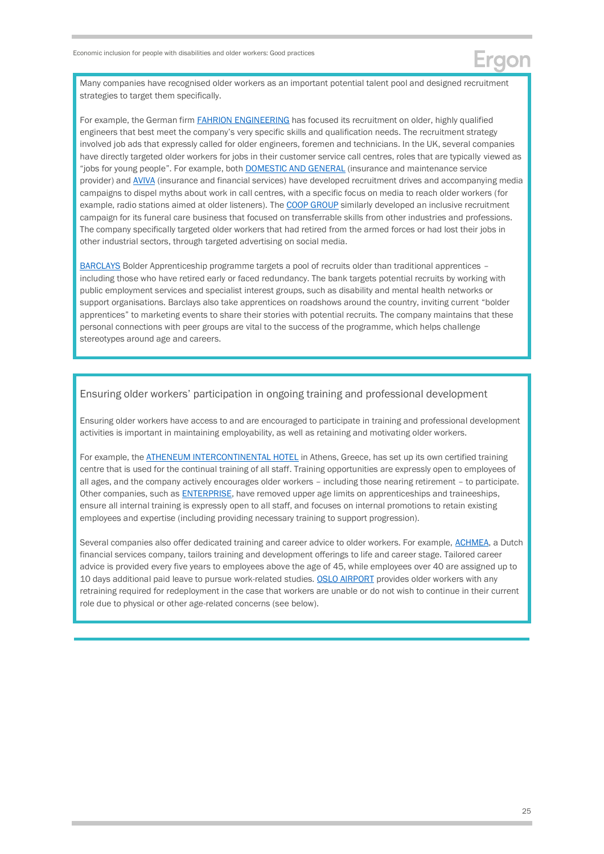

Many companies have recognised older workers as an important potential talent pool and designed recruitment strategies to target them specifically.

For example, the German firm **FAHRION ENGINEERING** has focused its recruitment on older, highly qualified engineers that best meet the company's very specific skills and qualification needs. The recruitment strategy involved job ads that expressly called for older engineers, foremen and technicians. In the UK, several companies have directly targeted older workers for jobs in their customer service call centres, roles that are typically viewed as "jobs for young people". For example, both **DOMESTIC AND GENERAL** (insurance and maintenance service provider) an[d AVIVA](https://www.ageing-better.org.uk/sites/default/files/2018-09/Becoming-age-friendly-employer.pdf) (insurance and financial services) have developed recruitment drives and accompanying media campaigns to dispel myths about work in call centres, with a specific focus on media to reach older workers (for example, radio stations aimed at older listeners). Th[e COOP GROUP](https://www.bitc.org.uk/wp-content/uploads/2020/11/bitc-toolkit-age-becominganagefriendlyemployer-nov20.pdf) similarly developed an inclusive recruitment campaign for its funeral care business that focused on transferrable skills from other industries and professions. The company specifically targeted older workers that had retired from the armed forces or had lost their jobs in other industrial sectors, through targeted advertising on social media.

[BARCLAYS](file:///C:/Users/Sam/Dropbox%20(Ergon%20Dropbox)/EBRD%20Disability%20&%20Older%20Workers/Package%20C%20-%20Country%20profiles/Mega%20profile%20(best%20practices)/.%20https:/www.ageing-better.org.uk/sites/default/files/2018-09/Becoming-age-friendly-employer.pdf) Bolder Apprenticeship programme targets a pool of recruits older than traditional apprentices – including those who have retired early or faced redundancy. The bank targets potential recruits by working with public employment services and specialist interest groups, such as disability and mental health networks or support organisations. Barclays also take apprentices on roadshows around the country, inviting current "bolder apprentices" to marketing events to share their stories with potential recruits. The company maintains that these personal connections with peer groups are vital to the success of the programme, which helps challenge stereotypes around age and careers.

#### Ensuring older workers' participation in ongoing training and professional development

Ensuring older workers have access to and are encouraged to participate in training and professional development activities is important in maintaining employability, as well as retaining and motivating older workers.

For example, the **ATHENEUM INTERCONTINENTAL HOTEL** in Athens, Greece, has set up its own certified training centre that is used for the continual training of all staff. Training opportunities are expressly open to employees of all ages, and the company actively encourages older workers – including those nearing retirement – to participate. Other companies, such as **ENTERPRISE**, have removed upper age limits on apprenticeships and traineeships, ensure all internal training is expressly open to all staff, and focuses on internal promotions to retain existing employees and expertise (including providing necessary training to support progression).

Several companies also offer dedicated training and career advice to older workers. For example, [ACHMEA,](http://www.ageingatwork.eu/resources/a-guide-to-good-practice-in-age-management.pdf) a Dutch financial services company, tailors training and development offerings to life and career stage. Tailored career advice is provided every five years to employees above the age of 45, while employees over 40 are assigned up to 10 days additional paid leave to pursue work-related studies[. OSLO AIRPORT](https://www.oecd-ilibrary.org/docserver/dc7b2222-en.pdf?expires=1611838582&id=id&accname=guest&checksum=00325894DDEBA3FC24295B0D71BFF8B0) provides older workers with any retraining required for redeployment in the case that workers are unable or do not wish to continue in their current role due to physical or other age-related concerns (see below).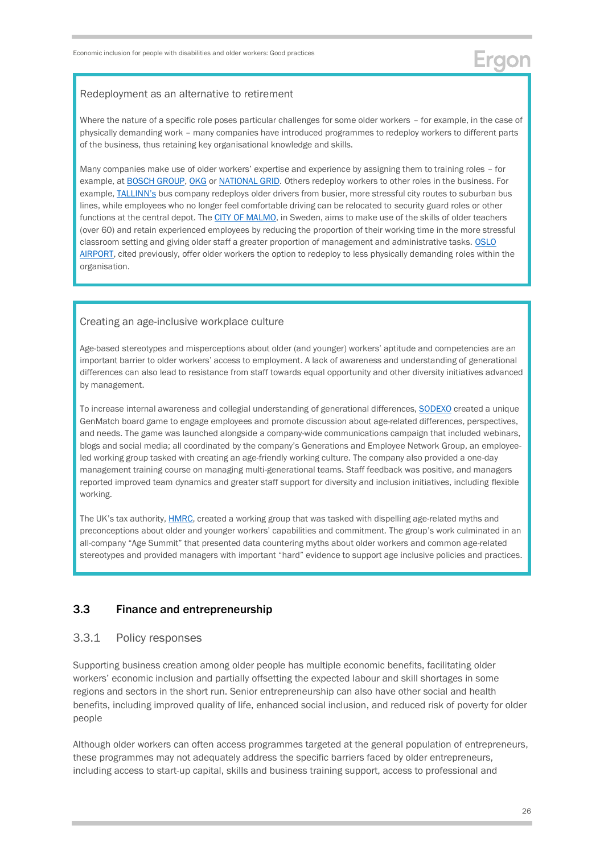#### Redeployment as an alternative to retirement

Where the nature of a specific role poses particular challenges for some older workers – for example, in the case of physically demanding work – many companies have introduced programmes to redeploy workers to different parts of the business, thus retaining key organisational knowledge and skills.

Many companies make use of older workers' expertise and experience by assigning them to training roles – for example, at [BOSCH GROUP,](https://www.emerald.com/insight/publication/issn/0967-0734) [OKG](http://www.ageingatwork.eu/resources/a-guide-to-good-practice-in-age-management.pdf) or [NATIONAL GRID.](https://www.marketwatch.com/story/why-this-company-makes-a-point-to-hire-older-workers-2018-06-27) Others redeploy workers to other roles in the business. For example, [TALLINN's](http://www.ageingatwork.eu/resources/a-guide-to-good-practice-in-age-management.pdf) bus company redeploys older drivers from busier, more stressful city routes to suburban bus lines, while employees who no longer feel comfortable driving can be relocated to security guard roles or other functions at the central depot. Th[e CITY OF MALMO,](http://www.ageingatwork.eu/resources/a-guide-to-good-practice-in-age-management.pdf) in Sweden, aims to make use of the skills of older teachers (over 60) and retain experienced employees by reducing the proportion of their working time in the more stressful classroom setting and giving older staff a greater proportion of management and administrative tasks. [OSLO](https://www.oecd-ilibrary.org/docserver/dc7b2222-en.pdf?expires=1611838582&id=id&accname=guest&checksum=00325894DDEBA3FC24295B0D71BFF8B0)  [AIRPORT,](https://www.oecd-ilibrary.org/docserver/dc7b2222-en.pdf?expires=1611838582&id=id&accname=guest&checksum=00325894DDEBA3FC24295B0D71BFF8B0) cited previously, offer older workers the option to redeploy to less physically demanding roles within the organisation.

#### Creating an age-inclusive workplace culture

Age-based stereotypes and misperceptions about older (and younger) workers' aptitude and competencies are an important barrier to older workers' access to employment. A lack of awareness and understanding of generational differences can also lead to resistance from staff towards equal opportunity and other diversity initiatives advanced by management.

To increase internal awareness and collegial understanding of generational differences, [SODEXO](https://www.ageing-better.org.uk/sites/default/files/2018-09/Being-age-friendly-employer-evidence-report.pdf) created a unique GenMatch board game to engage employees and promote discussion about age-related differences, perspectives, and needs. The game was launched alongside a company-wide communications campaign that included webinars, blogs and social media; all coordinated by the company's Generations and Employee Network Group, an employeeled working group tasked with creating an age-friendly working culture. The company also provided a one-day management training course on managing multi-generational teams. Staff feedback was positive, and managers reported improved team dynamics and greater staff support for diversity and inclusion initiatives, including flexible working.

The UK's tax authority, [HMRC,](https://www.ageing-better.org.uk/sites/default/files/2018-09/Becoming-age-friendly-employer.pdf) created a working group that was tasked with dispelling age-related myths and preconceptions about older and younger workers' capabilities and commitment. The group's work culminated in an all-company "Age Summit" that presented data countering myths about older workers and common age-related stereotypes and provided managers with important "hard" evidence to support age inclusive policies and practices.

### <span id="page-25-0"></span>3.3 Finance and entrepreneurship

#### 3.3.1 Policy responses

Supporting business creation among older people has multiple economic benefits, facilitating older workers' economic inclusion and partially offsetting the expected labour and skill shortages in some regions and sectors in the short run. Senior entrepreneurship can also have other social and health benefits, including improved quality of life, enhanced social inclusion, and reduced risk of poverty for older people

Although older workers can often access programmes targeted at the general population of entrepreneurs, these programmes may not adequately address the specific barriers faced by older entrepreneurs, including access to start-up capital, skills and business training support, access to professional and

Erdor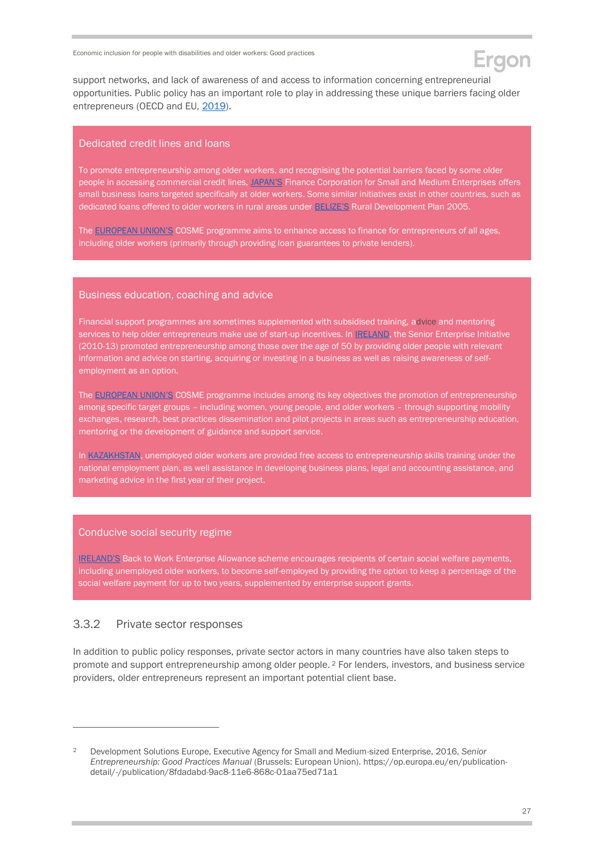support networks, and lack of awareness of and access to information concerning entrepreneurial opportunities. Public policy has an important role to play in addressing these unique barriers facing older entrepreneurs (OECD and EU, [2019\)](https://www.oecd-ilibrary.org/employment/the-missing-entrepreneurs_43c2f41c-en).

#### Dedicated credit lines and loans

To promote entrepreneurship among older workers, and recognising the potential barriers faced by some older people in accessing commercial credit lines, [JAPAN'](https://www.unfpa.org/sites/default/files/pub-pdf/Ageing%20report.pdf)S Finance Corporation for Small and Medium Enterprises offers small business loans targeted specifically at older workers. Some similar initiatives exist in other countries, such as dedicated loans offered to older workers in rural areas under [BELIZE'S](https://www.unfpa.org/sites/default/files/pub-pdf/Ageing%20report.pdf) Rural Development Plan 2005.

The [EUROPEAN UNION'S](https://ec.europa.eu/growth/smes/cosme_en) COSME programme aims to enhance access to finance for entrepreneurs of all ages, including older workers (primarily through providing loan guarantees to private lenders).

#### Business education, coaching and advice

Financial support programmes are sometimes supplemented with subsidised training, advice and mentoring services to help older entrepreneurs make use of start-up incentives. In **IRELAND**, the Senior Enterprise Initiative (2010-13) promoted entrepreneurship among those over the age of 50 by providing older people with relevant information and advice on starting, acquiring or investing in a business as well as raising awareness of selfemployment as an option.

The [EUROPEAN UNION'S](https://ec.europa.eu/growth/smes/cosme_en) COSME programme includes among its key objectives the promotion of entrepreneurship among specific target groups – including women, young people, and older workers – through supporting mobility exchanges, research, best practices dissemination and pilot projects in areas such as entrepreneurship education, mentoring or the development of guidance and support service.

In [KAZAKHSTAN,](https://www.gov.kz/memleket/entities/enbek/documents/details/7818?lang=ru) unemployed older workers are provided free access to entrepreneurship skills training under the national employment plan, as well assistance in developing business plans, legal and accounting assistance, and marketing advice in the first year of their project.

#### Conducive social security regime

[IRELAND'S](https://www.gov.ie/en/service/f215a4-back-to-work-enterprise-allowance/) Back to Work Enterprise Allowance scheme encourages recipients of certain social welfare payments, including unemployed older workers, to become self-employed by providing the option to keep a percentage of the social welfare payment for up to two years, supplemented by enterprise support grants.

#### 3.3.2 Private sector responses

-

In addition to public policy responses, private sector actors in many countries have also taken steps to promote and support entrepreneurship among older people. <sup>2</sup> For lenders, investors, and business service providers, older entrepreneurs represent an important potential client base.

<sup>2</sup> Development Solutions Europe, Executive Agency for Small and Medium-sized Enterprise, 2016, *Senior Entrepreneurship: Good Practices Manual* (Brussels: European Union). [https://op.europa.eu/en/publication](https://op.europa.eu/en/publication-detail/-/publication/8fdadabd-9ac8-11e6-868c-01aa75ed71a1)[detail/-/publication/8fdadabd-9ac8-11e6-868c-01aa75ed71a1](https://op.europa.eu/en/publication-detail/-/publication/8fdadabd-9ac8-11e6-868c-01aa75ed71a1)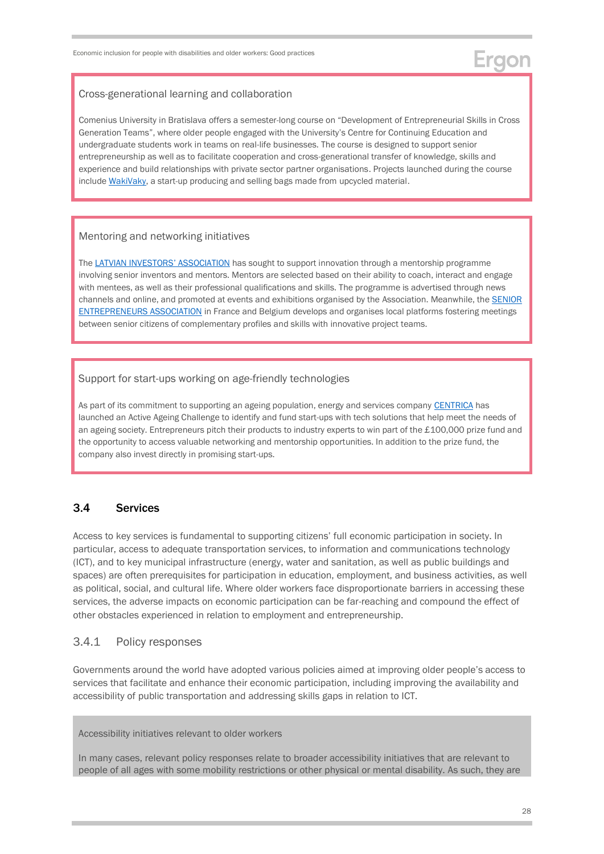#### Cross-generational learning and collaboration

Comenius University in Bratislava offers a semester-long course on "Development of Entrepreneurial Skills in Cross Generation Teams", where older people engaged with the University's Centre for Continuing Education and undergraduate students work in teams on real-life businesses. The course is designed to support senior entrepreneurship as well as to facilitate cooperation and cross-generational transfer of knowledge, skills and experience and build relationships with private sector partner organisations. Projects launched during the course includ[e WakiVaky,](https://heinnovate.eu/sites/default/files/HEInnovate_Comenius%20University%20Bratislava%20case%20study.pdf) a start-up producing and selling bags made from upcycled material.

#### Mentoring and networking initiatives

The [LATVIAN INVESTORS](https://op.europa.eu/en/publication-detail/-/publication/8fdadabd-9ac8-11e6-868c-01aa75ed71a1)' ASSOCIATION has sought to support innovation through a mentorship programme involving senior inventors and mentors. Mentors are selected based on their ability to coach, interact and engage with mentees, as well as their professional qualifications and skills. The programme is advertised through news channels and online, and promoted at events and exhibitions organised by the Association. Meanwhile, the **SENIOR** [ENTREPRENEURS ASSOCIATION](https://op.europa.eu/en/publication-detail/-/publication/8fdadabd-9ac8-11e6-868c-01aa75ed71a1) in France and Belgium develops and organises local platforms fostering meetings between senior citizens of complementary profiles and skills with innovative project teams.

#### Support for start-ups working on age-friendly technologies

As part of its commitment to supporting an ageing population, energy and services company [CENTRICA](https://www.centrica.com/stories/2018/centrica-innovations-a-year-of-active-ageing/) has launched an Active Ageing Challenge to identify and fund start-ups with tech solutions that help meet the needs of an ageing society. Entrepreneurs pitch their products to industry experts to win part of the £100,000 prize fund and the opportunity to access valuable networking and mentorship opportunities. In addition to the prize fund, the company also invest directly in promising start-ups.

### <span id="page-27-0"></span>3.4 Services

Access to key services is fundamental to supporting citizens' full economic participation in society. In particular, access to adequate transportation services, to information and communications technology (ICT), and to key municipal infrastructure (energy, water and sanitation, as well as public buildings and spaces) are often prerequisites for participation in education, employment, and business activities, as well as political, social, and cultural life. Where older workers face disproportionate barriers in accessing these services, the adverse impacts on economic participation can be far-reaching and compound the effect of other obstacles experienced in relation to employment and entrepreneurship.

### 3.4.1 Policy responses

Governments around the world have adopted various policies aimed at improving older people's access to services that facilitate and enhance their economic participation, including improving the availability and accessibility of public transportation and addressing skills gaps in relation to ICT.

Accessibility initiatives relevant to older workers

In many cases, relevant policy responses relate to broader accessibility initiatives that are relevant to people of all ages with some mobility restrictions or other physical or mental disability. As such, they are

Ergon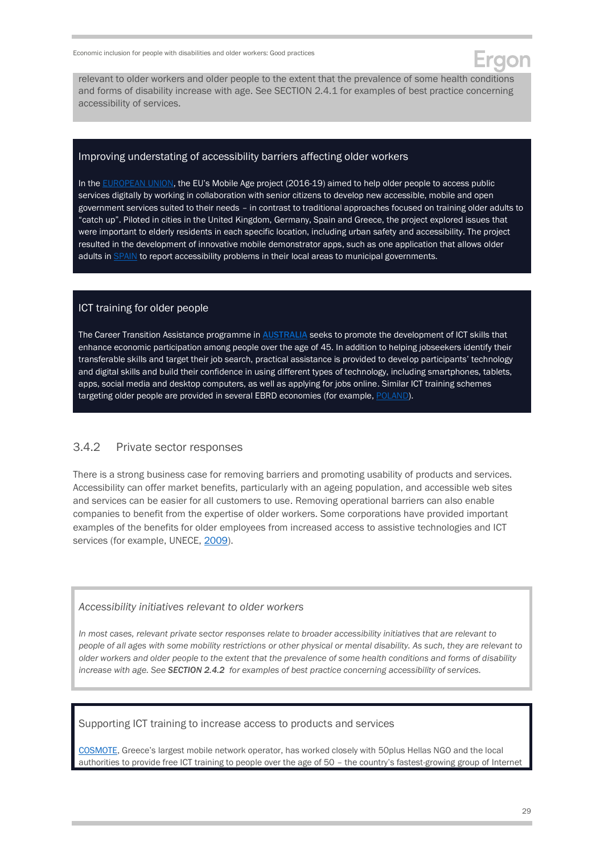

relevant to older workers and older people to the extent that the prevalence of some health conditions and forms of disability increase with age. See SECTION 2.4.1 for examples of best practice concerning accessibility of services.

#### Improving understating of accessibility barriers affecting older workers

In the [EUROPEAN UNION,](https://cordis.europa.eu/project/id/693319) the EU's Mobile Age project (2016-19) aimed to help older people to access public services digitally by working in collaboration with senior citizens to develop new accessible, mobile and open government services suited to their needs – in contrast to traditional approaches focused on training older adults to "catch up". Piloted in cities in the United Kingdom, Germany, Spain and Greece, the project explored issues that were important to elderly residents in each specific location, including urban safety and accessibility. The project resulted in the development of innovative mobile demonstrator apps, such as one application that allows older adults in [SPAIN](https://www.mobile-age.eu/) to report accessibility problems in their local areas to municipal governments.

#### ICT training for older people

The Career Transition Assistance programme in **[AUSTRALIA](https://www.employment.gov.au/career-transition-assistance)** seeks to promote the development of ICT skills that enhance economic participation among people over the age of 45. In addition to helping jobseekers identify their transferable skills and target their job search, practical assistance is provided to develop participants' technology and digital skills and build their confidence in using different types of technology, including smartphones, tablets, apps, social media and desktop computers, as well as applying for jobs online. Similar ICT training schemes targeting older people are provided in several EBRD economies (for example, [POLAND\)](https://www.unece.org/fileadmin/DAM/pau/age/country_rpts/2017/POL-Report-EN.pdf).

### 3.4.2 Private sector responses

There is a strong business case for removing barriers and promoting usability of products and services. Accessibility can offer market benefits, particularly with an ageing population, and accessible web sites and services can be easier for all customers to use. Removing operational barriers can also enable companies to benefit from the expertise of older workers. Some corporations have provided important examples of the benefits for older employees from increased access to assistive technologies and ICT services (for example, UNECE, [2009\)](https://www.unece.org/fileadmin/DAM/pau/_docs/age/2009/Policy_briefs/4-Policybrief_Participation_Eng.pdf).

#### *Accessibility initiatives relevant to older workers*

*In most cases, relevant private sector responses relate to broader accessibility initiatives that are relevant to people of all ages with some mobility restrictions or other physical or mental disability. As such, they are relevant to older workers and older people to the extent that the prevalence of some health conditions and forms of disability increase with age. See SECTION 2.4.2 for examples of best practice concerning accessibility of services.*

#### Supporting ICT training to increase access to products and services

[COSMOTE](https://www.cosmote.gr/otegroup_company/sustainability/reports/ote/eng/2019.pdf), Greece's largest mobile network operator, has worked closely with 50plus Hellas NGO and the local authorities to provide free ICT training to people over the age of 50 – the country's fastest-growing group of Internet